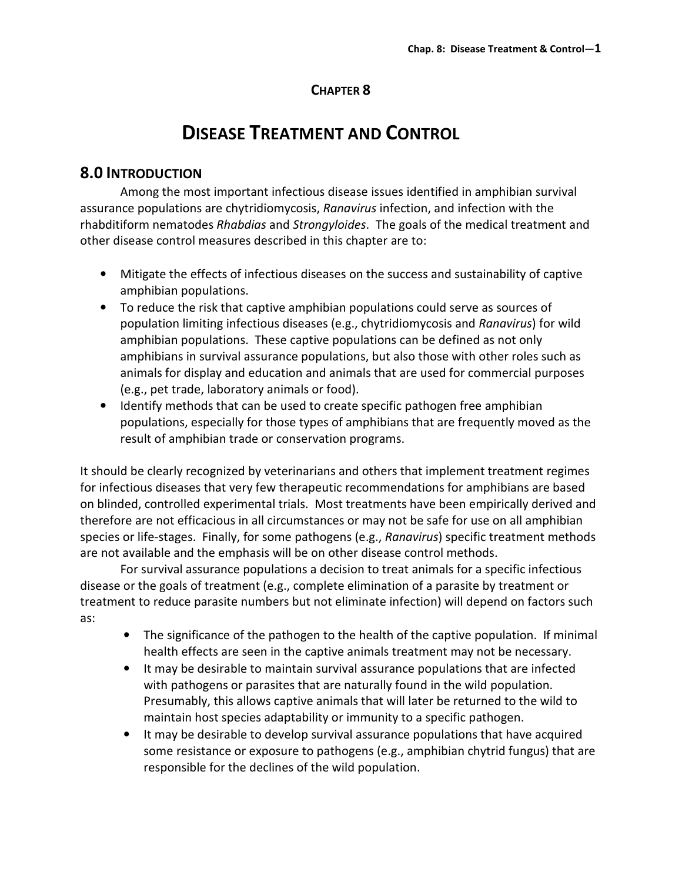### CHAPTER 8

# DISEASE TREATMENT AND CONTROL

## 8.0 INTRODUCTION

 Among the most important infectious disease issues identified in amphibian survival assurance populations are chytridiomycosis, Ranavirus infection, and infection with the rhabditiform nematodes Rhabdias and Strongyloides. The goals of the medical treatment and other disease control measures described in this chapter are to:

- Mitigate the effects of infectious diseases on the success and sustainability of captive amphibian populations.
- To reduce the risk that captive amphibian populations could serve as sources of population limiting infectious diseases (e.g., chytridiomycosis and Ranavirus) for wild amphibian populations. These captive populations can be defined as not only amphibians in survival assurance populations, but also those with other roles such as animals for display and education and animals that are used for commercial purposes (e.g., pet trade, laboratory animals or food).
- Identify methods that can be used to create specific pathogen free amphibian populations, especially for those types of amphibians that are frequently moved as the result of amphibian trade or conservation programs.

It should be clearly recognized by veterinarians and others that implement treatment regimes for infectious diseases that very few therapeutic recommendations for amphibians are based on blinded, controlled experimental trials. Most treatments have been empirically derived and therefore are not efficacious in all circumstances or may not be safe for use on all amphibian species or life-stages. Finally, for some pathogens (e.g., Ranavirus) specific treatment methods are not available and the emphasis will be on other disease control methods.

 For survival assurance populations a decision to treat animals for a specific infectious disease or the goals of treatment (e.g., complete elimination of a parasite by treatment or treatment to reduce parasite numbers but not eliminate infection) will depend on factors such as:

- The significance of the pathogen to the health of the captive population. If minimal health effects are seen in the captive animals treatment may not be necessary.
- It may be desirable to maintain survival assurance populations that are infected with pathogens or parasites that are naturally found in the wild population. Presumably, this allows captive animals that will later be returned to the wild to maintain host species adaptability or immunity to a specific pathogen.
- It may be desirable to develop survival assurance populations that have acquired some resistance or exposure to pathogens (e.g., amphibian chytrid fungus) that are responsible for the declines of the wild population.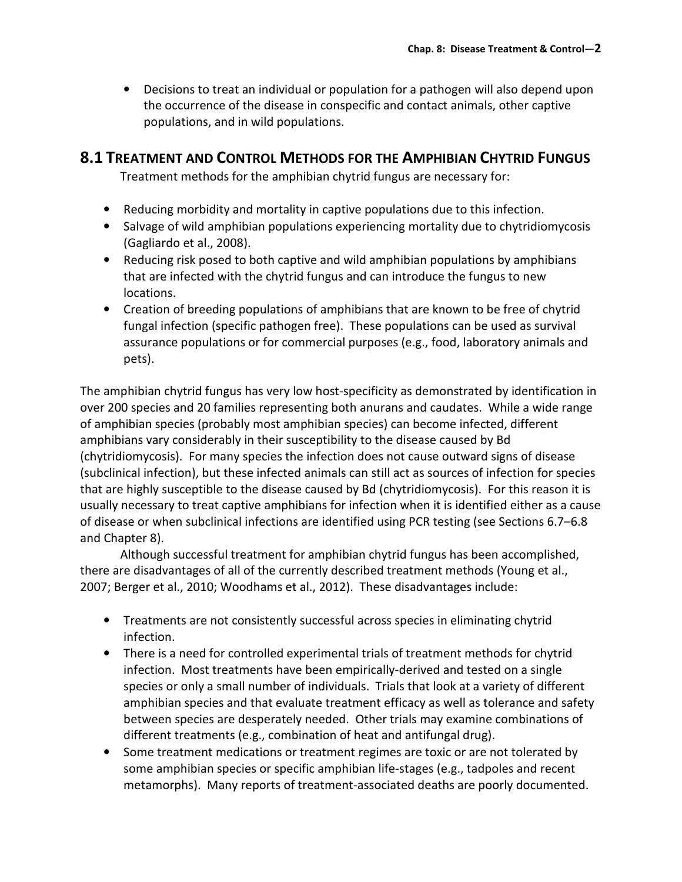• Decisions to treat an individual or population for a pathogen will also depend upon the occurrence of the disease in conspecific and contact animals, other captive populations, and in wild populations.

## 8.1 TREATMENT AND CONTROL METHODS FOR THE AMPHIBIAN CHYTRID FUNGUS

Treatment methods for the amphibian chytrid fungus are necessary for:

- Reducing morbidity and mortality in captive populations due to this infection.
- Salvage of wild amphibian populations experiencing mortality due to chytridiomycosis (Gagliardo et al., 2008).
- Reducing risk posed to both captive and wild amphibian populations by amphibians that are infected with the chytrid fungus and can introduce the fungus to new locations.
- Creation of breeding populations of amphibians that are known to be free of chytrid fungal infection (specific pathogen free). These populations can be used as survival assurance populations or for commercial purposes (e.g., food, laboratory animals and pets).

The amphibian chytrid fungus has very low host-specificity as demonstrated by identification in over 200 species and 20 families representing both anurans and caudates. While a wide range of amphibian species (probably most amphibian species) can become infected, different amphibians vary considerably in their susceptibility to the disease caused by Bd (chytridiomycosis). For many species the infection does not cause outward signs of disease (subclinical infection), but these infected animals can still act as sources of infection for species that are highly susceptible to the disease caused by Bd (chytridiomycosis). For this reason it is usually necessary to treat captive amphibians for infection when it is identified either as a cause of disease or when subclinical infections are identified using PCR testing (see Sections 6.7–6.8 and Chapter 8).

 Although successful treatment for amphibian chytrid fungus has been accomplished, there are disadvantages of all of the currently described treatment methods (Young et al., 2007; Berger et al., 2010; Woodhams et al., 2012). These disadvantages include:

- Treatments are not consistently successful across species in eliminating chytrid infection.
- There is a need for controlled experimental trials of treatment methods for chytrid infection. Most treatments have been empirically-derived and tested on a single species or only a small number of individuals. Trials that look at a variety of different amphibian species and that evaluate treatment efficacy as well as tolerance and safety between species are desperately needed. Other trials may examine combinations of different treatments (e.g., combination of heat and antifungal drug).
- Some treatment medications or treatment regimes are toxic or are not tolerated by some amphibian species or specific amphibian life-stages (e.g., tadpoles and recent metamorphs). Many reports of treatment-associated deaths are poorly documented.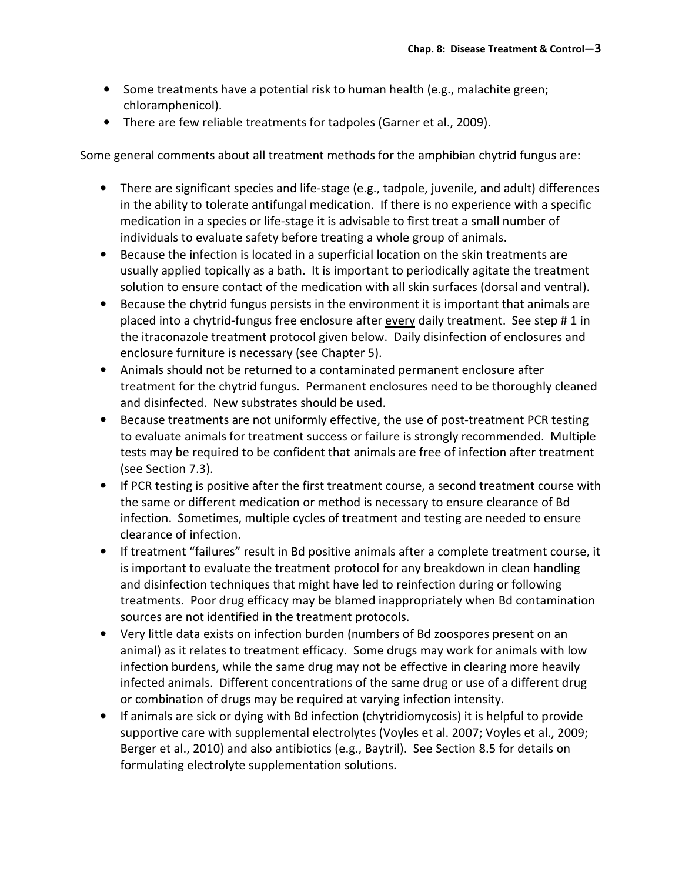- Some treatments have a potential risk to human health (e.g., malachite green; chloramphenicol).
- There are few reliable treatments for tadpoles (Garner et al., 2009).

Some general comments about all treatment methods for the amphibian chytrid fungus are:

- There are significant species and life-stage (e.g., tadpole, juvenile, and adult) differences in the ability to tolerate antifungal medication. If there is no experience with a specific medication in a species or life-stage it is advisable to first treat a small number of individuals to evaluate safety before treating a whole group of animals.
- Because the infection is located in a superficial location on the skin treatments are usually applied topically as a bath. It is important to periodically agitate the treatment solution to ensure contact of the medication with all skin surfaces (dorsal and ventral).
- Because the chytrid fungus persists in the environment it is important that animals are placed into a chytrid-fungus free enclosure after every daily treatment. See step # 1 in the itraconazole treatment protocol given below. Daily disinfection of enclosures and enclosure furniture is necessary (see Chapter 5).
- Animals should not be returned to a contaminated permanent enclosure after treatment for the chytrid fungus. Permanent enclosures need to be thoroughly cleaned and disinfected. New substrates should be used.
- Because treatments are not uniformly effective, the use of post-treatment PCR testing to evaluate animals for treatment success or failure is strongly recommended. Multiple tests may be required to be confident that animals are free of infection after treatment (see Section 7.3).
- If PCR testing is positive after the first treatment course, a second treatment course with the same or different medication or method is necessary to ensure clearance of Bd infection. Sometimes, multiple cycles of treatment and testing are needed to ensure clearance of infection.
- If treatment "failures" result in Bd positive animals after a complete treatment course, it is important to evaluate the treatment protocol for any breakdown in clean handling and disinfection techniques that might have led to reinfection during or following treatments. Poor drug efficacy may be blamed inappropriately when Bd contamination sources are not identified in the treatment protocols.
- Very little data exists on infection burden (numbers of Bd zoospores present on an animal) as it relates to treatment efficacy. Some drugs may work for animals with low infection burdens, while the same drug may not be effective in clearing more heavily infected animals. Different concentrations of the same drug or use of a different drug or combination of drugs may be required at varying infection intensity.
- If animals are sick or dying with Bd infection (chytridiomycosis) it is helpful to provide supportive care with supplemental electrolytes (Voyles et al. 2007; Voyles et al., 2009; Berger et al., 2010) and also antibiotics (e.g., Baytril). See Section 8.5 for details on formulating electrolyte supplementation solutions.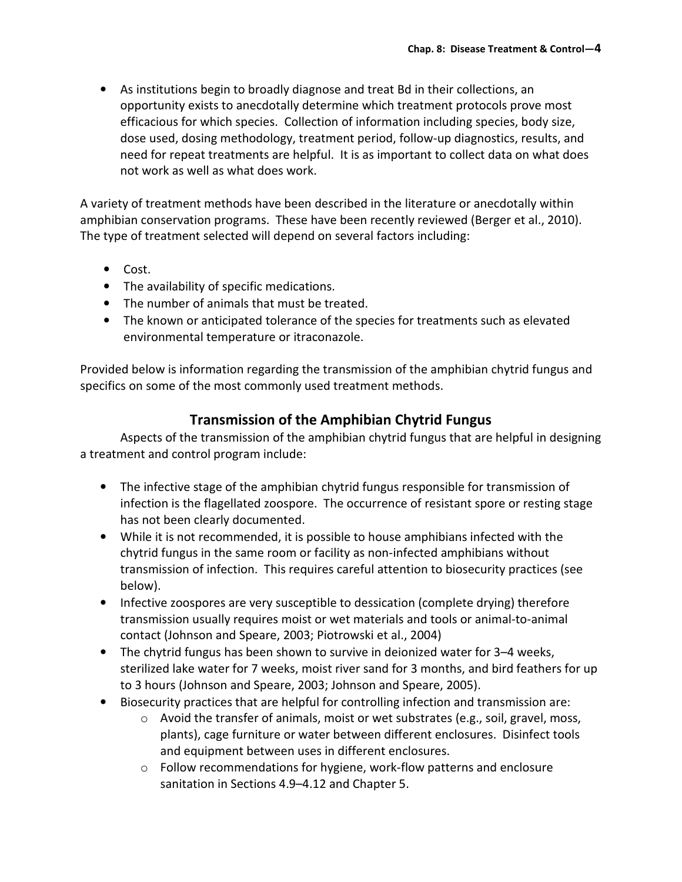• As institutions begin to broadly diagnose and treat Bd in their collections, an opportunity exists to anecdotally determine which treatment protocols prove most efficacious for which species. Collection of information including species, body size, dose used, dosing methodology, treatment period, follow-up diagnostics, results, and need for repeat treatments are helpful. It is as important to collect data on what does not work as well as what does work.

A variety of treatment methods have been described in the literature or anecdotally within amphibian conservation programs. These have been recently reviewed (Berger et al., 2010). The type of treatment selected will depend on several factors including:

- Cost.
- The availability of specific medications.
- The number of animals that must be treated.
- The known or anticipated tolerance of the species for treatments such as elevated environmental temperature or itraconazole.

Provided below is information regarding the transmission of the amphibian chytrid fungus and specifics on some of the most commonly used treatment methods.

### Transmission of the Amphibian Chytrid Fungus

 Aspects of the transmission of the amphibian chytrid fungus that are helpful in designing a treatment and control program include:

- The infective stage of the amphibian chytrid fungus responsible for transmission of infection is the flagellated zoospore. The occurrence of resistant spore or resting stage has not been clearly documented.
- While it is not recommended, it is possible to house amphibians infected with the chytrid fungus in the same room or facility as non-infected amphibians without transmission of infection. This requires careful attention to biosecurity practices (see below).
- Infective zoospores are very susceptible to dessication (complete drying) therefore transmission usually requires moist or wet materials and tools or animal-to-animal contact (Johnson and Speare, 2003; Piotrowski et al., 2004)
- The chytrid fungus has been shown to survive in deionized water for 3–4 weeks, sterilized lake water for 7 weeks, moist river sand for 3 months, and bird feathers for up to 3 hours (Johnson and Speare, 2003; Johnson and Speare, 2005).
- Biosecurity practices that are helpful for controlling infection and transmission are:
	- o Avoid the transfer of animals, moist or wet substrates (e.g., soil, gravel, moss, plants), cage furniture or water between different enclosures. Disinfect tools and equipment between uses in different enclosures.
	- $\circ$  Follow recommendations for hygiene, work-flow patterns and enclosure sanitation in Sections 4.9–4.12 and Chapter 5.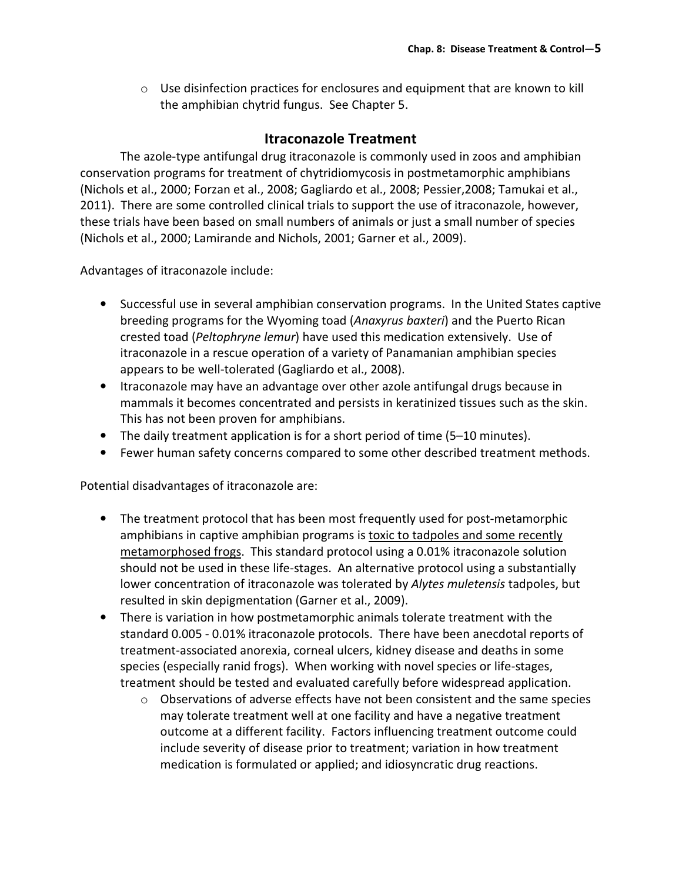$\circ$  Use disinfection practices for enclosures and equipment that are known to kill the amphibian chytrid fungus. See Chapter 5.

## Itraconazole Treatment

The azole-type antifungal drug itraconazole is commonly used in zoos and amphibian conservation programs for treatment of chytridiomycosis in postmetamorphic amphibians (Nichols et al., 2000; Forzan et al., 2008; Gagliardo et al., 2008; Pessier,2008; Tamukai et al., 2011). There are some controlled clinical trials to support the use of itraconazole, however, these trials have been based on small numbers of animals or just a small number of species (Nichols et al., 2000; Lamirande and Nichols, 2001; Garner et al., 2009).

Advantages of itraconazole include:

- Successful use in several amphibian conservation programs. In the United States captive breeding programs for the Wyoming toad (Anaxyrus baxteri) and the Puerto Rican crested toad (Peltophryne lemur) have used this medication extensively. Use of itraconazole in a rescue operation of a variety of Panamanian amphibian species appears to be well-tolerated (Gagliardo et al., 2008).
- Itraconazole may have an advantage over other azole antifungal drugs because in mammals it becomes concentrated and persists in keratinized tissues such as the skin. This has not been proven for amphibians.
- The daily treatment application is for a short period of time (5–10 minutes).
- Fewer human safety concerns compared to some other described treatment methods.

Potential disadvantages of itraconazole are:

- The treatment protocol that has been most frequently used for post-metamorphic amphibians in captive amphibian programs is toxic to tadpoles and some recently metamorphosed frogs. This standard protocol using a 0.01% itraconazole solution should not be used in these life-stages. An alternative protocol using a substantially lower concentration of itraconazole was tolerated by Alytes muletensis tadpoles, but resulted in skin depigmentation (Garner et al., 2009).
- There is variation in how postmetamorphic animals tolerate treatment with the standard 0.005 - 0.01% itraconazole protocols. There have been anecdotal reports of treatment-associated anorexia, corneal ulcers, kidney disease and deaths in some species (especially ranid frogs). When working with novel species or life-stages, treatment should be tested and evaluated carefully before widespread application.
	- $\circ$  Observations of adverse effects have not been consistent and the same species may tolerate treatment well at one facility and have a negative treatment outcome at a different facility. Factors influencing treatment outcome could include severity of disease prior to treatment; variation in how treatment medication is formulated or applied; and idiosyncratic drug reactions.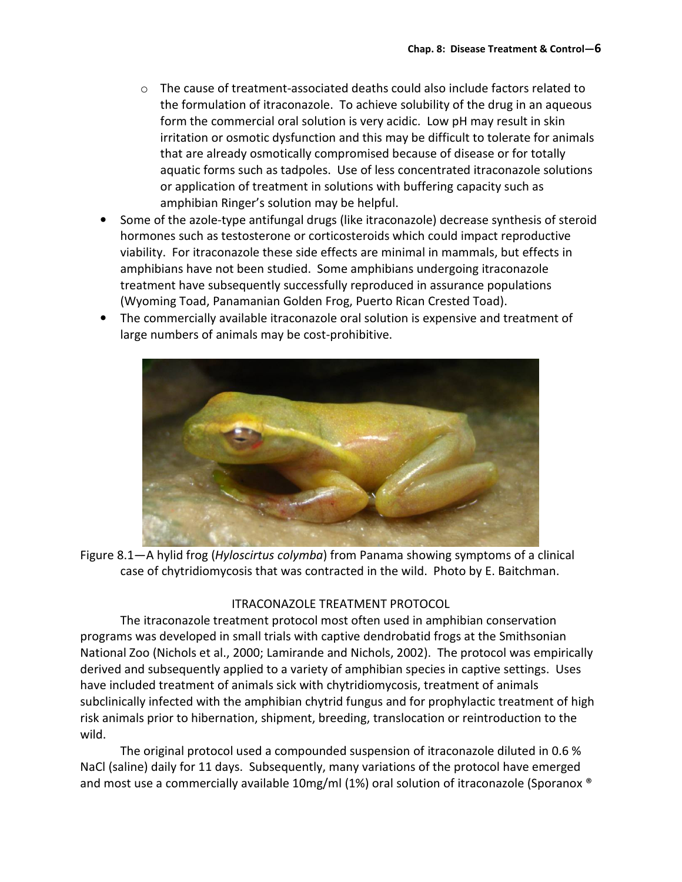- $\circ$  The cause of treatment-associated deaths could also include factors related to the formulation of itraconazole. To achieve solubility of the drug in an aqueous form the commercial oral solution is very acidic. Low pH may result in skin irritation or osmotic dysfunction and this may be difficult to tolerate for animals that are already osmotically compromised because of disease or for totally aquatic forms such as tadpoles. Use of less concentrated itraconazole solutions or application of treatment in solutions with buffering capacity such as amphibian Ringer's solution may be helpful.
- Some of the azole-type antifungal drugs (like itraconazole) decrease synthesis of steroid hormones such as testosterone or corticosteroids which could impact reproductive viability. For itraconazole these side effects are minimal in mammals, but effects in amphibians have not been studied. Some amphibians undergoing itraconazole treatment have subsequently successfully reproduced in assurance populations (Wyoming Toad, Panamanian Golden Frog, Puerto Rican Crested Toad).
- The commercially available itraconazole oral solution is expensive and treatment of large numbers of animals may be cost-prohibitive.



Figure 8.1—A hylid frog (Hyloscirtus colymba) from Panama showing symptoms of a clinical case of chytridiomycosis that was contracted in the wild. Photo by E. Baitchman.

#### ITRACONAZOLE TREATMENT PROTOCOL

 The itraconazole treatment protocol most often used in amphibian conservation programs was developed in small trials with captive dendrobatid frogs at the Smithsonian National Zoo (Nichols et al., 2000; Lamirande and Nichols, 2002). The protocol was empirically derived and subsequently applied to a variety of amphibian species in captive settings. Uses have included treatment of animals sick with chytridiomycosis, treatment of animals subclinically infected with the amphibian chytrid fungus and for prophylactic treatment of high risk animals prior to hibernation, shipment, breeding, translocation or reintroduction to the wild.

 The original protocol used a compounded suspension of itraconazole diluted in 0.6 % NaCl (saline) daily for 11 days. Subsequently, many variations of the protocol have emerged and most use a commercially available 10mg/ml (1%) oral solution of itraconazole (Sporanox ®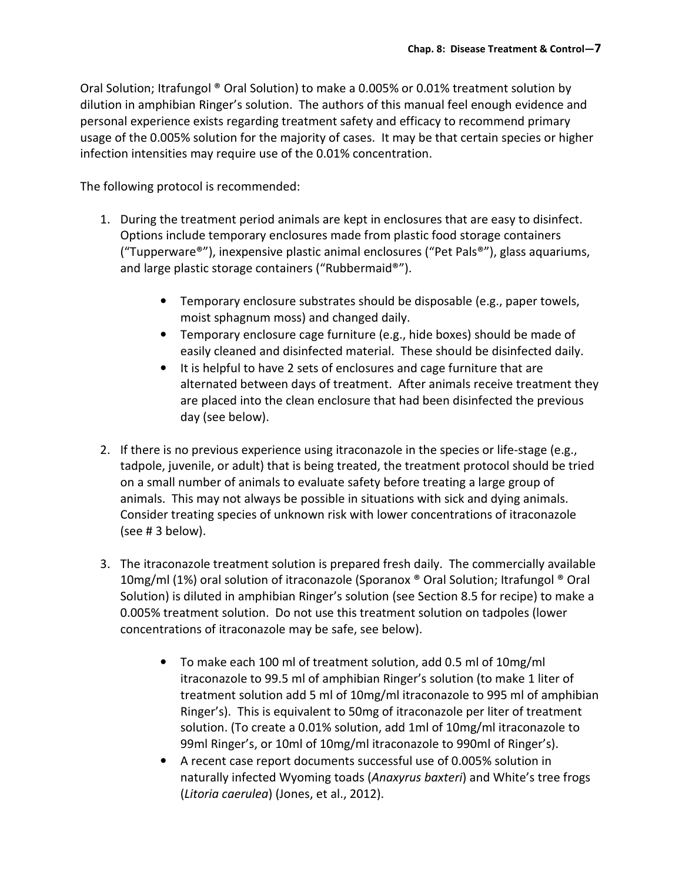Oral Solution; Itrafungol ® Oral Solution) to make a 0.005% or 0.01% treatment solution by dilution in amphibian Ringer's solution. The authors of this manual feel enough evidence and personal experience exists regarding treatment safety and efficacy to recommend primary usage of the 0.005% solution for the majority of cases. It may be that certain species or higher infection intensities may require use of the 0.01% concentration.

The following protocol is recommended:

- 1. During the treatment period animals are kept in enclosures that are easy to disinfect. Options include temporary enclosures made from plastic food storage containers ("Tupperware®"), inexpensive plastic animal enclosures ("Pet Pals®"), glass aquariums, and large plastic storage containers ("Rubbermaid®").
	- Temporary enclosure substrates should be disposable (e.g., paper towels, moist sphagnum moss) and changed daily.
	- Temporary enclosure cage furniture (e.g., hide boxes) should be made of easily cleaned and disinfected material. These should be disinfected daily.
	- It is helpful to have 2 sets of enclosures and cage furniture that are alternated between days of treatment. After animals receive treatment they are placed into the clean enclosure that had been disinfected the previous day (see below).
- 2. If there is no previous experience using itraconazole in the species or life-stage (e.g., tadpole, juvenile, or adult) that is being treated, the treatment protocol should be tried on a small number of animals to evaluate safety before treating a large group of animals. This may not always be possible in situations with sick and dying animals. Consider treating species of unknown risk with lower concentrations of itraconazole (see # 3 below).
- 3. The itraconazole treatment solution is prepared fresh daily. The commercially available 10mg/ml (1%) oral solution of itraconazole (Sporanox ® Oral Solution; Itrafungol ® Oral Solution) is diluted in amphibian Ringer's solution (see Section 8.5 for recipe) to make a 0.005% treatment solution. Do not use this treatment solution on tadpoles (lower concentrations of itraconazole may be safe, see below).
	- To make each 100 ml of treatment solution, add 0.5 ml of 10mg/ml itraconazole to 99.5 ml of amphibian Ringer's solution (to make 1 liter of treatment solution add 5 ml of 10mg/ml itraconazole to 995 ml of amphibian Ringer's). This is equivalent to 50mg of itraconazole per liter of treatment solution. (To create a 0.01% solution, add 1ml of 10mg/ml itraconazole to 99ml Ringer's, or 10ml of 10mg/ml itraconazole to 990ml of Ringer's).
	- A recent case report documents successful use of 0.005% solution in naturally infected Wyoming toads (Anaxyrus baxteri) and White's tree frogs (Litoria caerulea) (Jones, et al., 2012).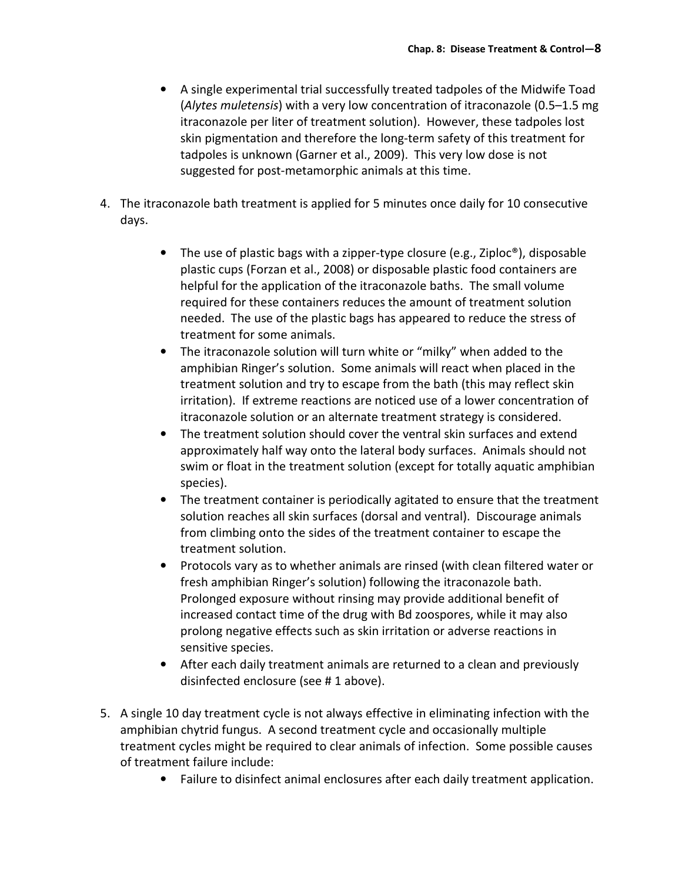- A single experimental trial successfully treated tadpoles of the Midwife Toad (Alytes muletensis) with a very low concentration of itraconazole (0.5–1.5 mg itraconazole per liter of treatment solution). However, these tadpoles lost skin pigmentation and therefore the long-term safety of this treatment for tadpoles is unknown (Garner et al., 2009). This very low dose is not suggested for post-metamorphic animals at this time.
- 4. The itraconazole bath treatment is applied for 5 minutes once daily for 10 consecutive days.
	- The use of plastic bags with a zipper-type closure (e.g., Ziploc®), disposable plastic cups (Forzan et al., 2008) or disposable plastic food containers are helpful for the application of the itraconazole baths. The small volume required for these containers reduces the amount of treatment solution needed. The use of the plastic bags has appeared to reduce the stress of treatment for some animals.
	- The itraconazole solution will turn white or "milky" when added to the amphibian Ringer's solution. Some animals will react when placed in the treatment solution and try to escape from the bath (this may reflect skin irritation). If extreme reactions are noticed use of a lower concentration of itraconazole solution or an alternate treatment strategy is considered.
	- The treatment solution should cover the ventral skin surfaces and extend approximately half way onto the lateral body surfaces. Animals should not swim or float in the treatment solution (except for totally aquatic amphibian species).
	- The treatment container is periodically agitated to ensure that the treatment solution reaches all skin surfaces (dorsal and ventral). Discourage animals from climbing onto the sides of the treatment container to escape the treatment solution.
	- Protocols vary as to whether animals are rinsed (with clean filtered water or fresh amphibian Ringer's solution) following the itraconazole bath. Prolonged exposure without rinsing may provide additional benefit of increased contact time of the drug with Bd zoospores, while it may also prolong negative effects such as skin irritation or adverse reactions in sensitive species.
	- After each daily treatment animals are returned to a clean and previously disinfected enclosure (see # 1 above).
- 5. A single 10 day treatment cycle is not always effective in eliminating infection with the amphibian chytrid fungus. A second treatment cycle and occasionally multiple treatment cycles might be required to clear animals of infection. Some possible causes of treatment failure include:
	- Failure to disinfect animal enclosures after each daily treatment application.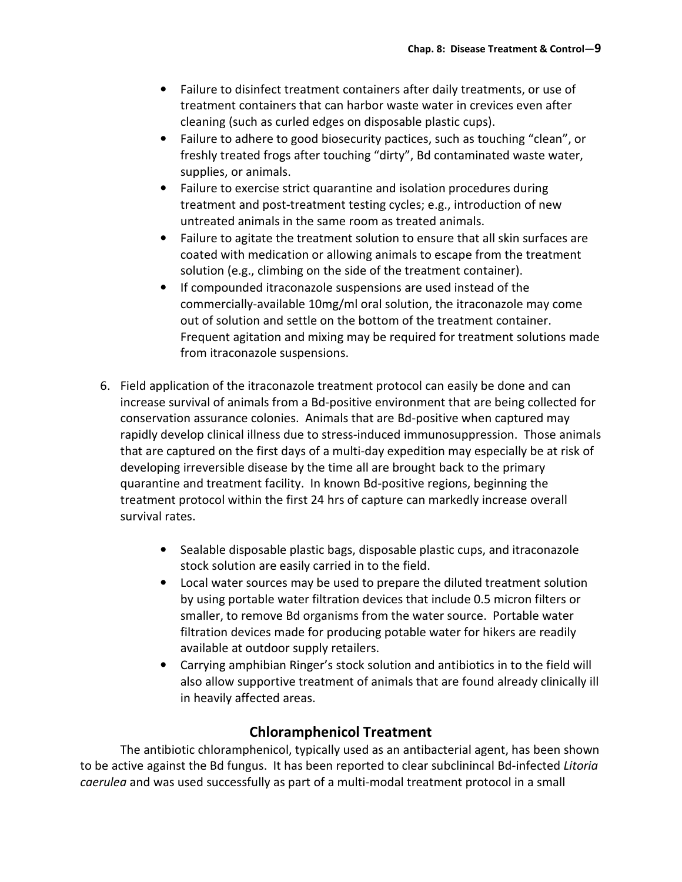- Failure to disinfect treatment containers after daily treatments, or use of treatment containers that can harbor waste water in crevices even after cleaning (such as curled edges on disposable plastic cups).
- Failure to adhere to good biosecurity pactices, such as touching "clean", or freshly treated frogs after touching "dirty", Bd contaminated waste water, supplies, or animals.
- Failure to exercise strict quarantine and isolation procedures during treatment and post-treatment testing cycles; e.g., introduction of new untreated animals in the same room as treated animals.
- Failure to agitate the treatment solution to ensure that all skin surfaces are coated with medication or allowing animals to escape from the treatment solution (e.g., climbing on the side of the treatment container).
- If compounded itraconazole suspensions are used instead of the commercially-available 10mg/ml oral solution, the itraconazole may come out of solution and settle on the bottom of the treatment container. Frequent agitation and mixing may be required for treatment solutions made from itraconazole suspensions.
- 6. Field application of the itraconazole treatment protocol can easily be done and can increase survival of animals from a Bd-positive environment that are being collected for conservation assurance colonies. Animals that are Bd-positive when captured may rapidly develop clinical illness due to stress-induced immunosuppression. Those animals that are captured on the first days of a multi-day expedition may especially be at risk of developing irreversible disease by the time all are brought back to the primary quarantine and treatment facility. In known Bd-positive regions, beginning the treatment protocol within the first 24 hrs of capture can markedly increase overall survival rates.
	- Sealable disposable plastic bags, disposable plastic cups, and itraconazole stock solution are easily carried in to the field.
	- Local water sources may be used to prepare the diluted treatment solution by using portable water filtration devices that include 0.5 micron filters or smaller, to remove Bd organisms from the water source. Portable water filtration devices made for producing potable water for hikers are readily available at outdoor supply retailers.
	- Carrying amphibian Ringer's stock solution and antibiotics in to the field will also allow supportive treatment of animals that are found already clinically ill in heavily affected areas.

## Chloramphenicol Treatment

 The antibiotic chloramphenicol, typically used as an antibacterial agent, has been shown to be active against the Bd fungus. It has been reported to clear subclinincal Bd-infected Litoria caerulea and was used successfully as part of a multi-modal treatment protocol in a small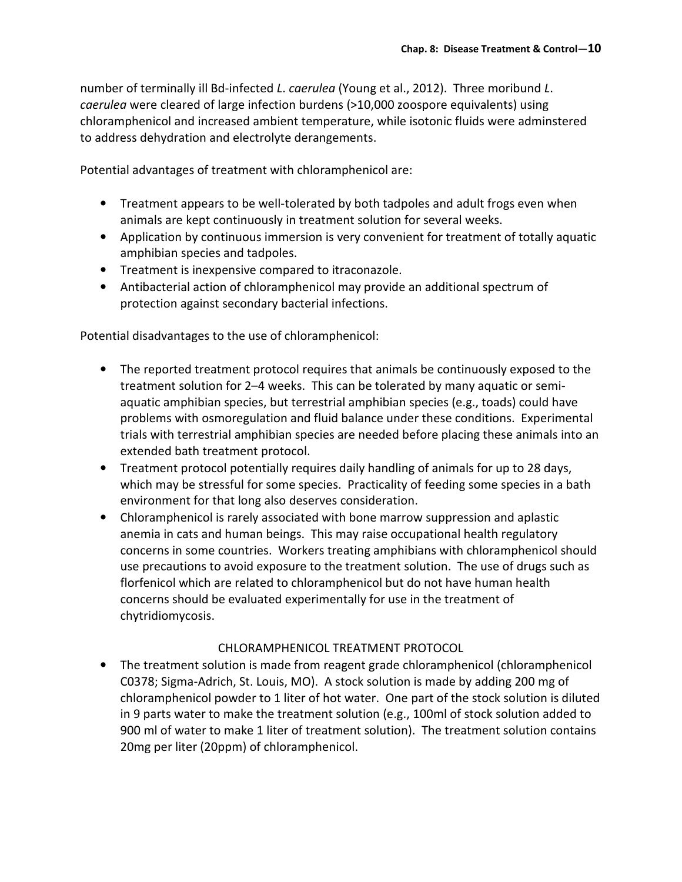number of terminally ill Bd-infected L. caerulea (Young et al., 2012). Three moribund L. caerulea were cleared of large infection burdens (>10,000 zoospore equivalents) using chloramphenicol and increased ambient temperature, while isotonic fluids were adminstered to address dehydration and electrolyte derangements.

Potential advantages of treatment with chloramphenicol are:

- Treatment appears to be well-tolerated by both tadpoles and adult frogs even when animals are kept continuously in treatment solution for several weeks.
- Application by continuous immersion is very convenient for treatment of totally aquatic amphibian species and tadpoles.
- Treatment is inexpensive compared to itraconazole.
- Antibacterial action of chloramphenicol may provide an additional spectrum of protection against secondary bacterial infections.

Potential disadvantages to the use of chloramphenicol:

- The reported treatment protocol requires that animals be continuously exposed to the treatment solution for 2–4 weeks. This can be tolerated by many aquatic or semiaquatic amphibian species, but terrestrial amphibian species (e.g., toads) could have problems with osmoregulation and fluid balance under these conditions. Experimental trials with terrestrial amphibian species are needed before placing these animals into an extended bath treatment protocol.
- Treatment protocol potentially requires daily handling of animals for up to 28 days, which may be stressful for some species. Practicality of feeding some species in a bath environment for that long also deserves consideration.
- Chloramphenicol is rarely associated with bone marrow suppression and aplastic anemia in cats and human beings. This may raise occupational health regulatory concerns in some countries. Workers treating amphibians with chloramphenicol should use precautions to avoid exposure to the treatment solution. The use of drugs such as florfenicol which are related to chloramphenicol but do not have human health concerns should be evaluated experimentally for use in the treatment of chytridiomycosis.

#### CHLORAMPHENICOL TREATMENT PROTOCOL

• The treatment solution is made from reagent grade chloramphenicol (chloramphenicol C0378; Sigma-Adrich, St. Louis, MO). A stock solution is made by adding 200 mg of chloramphenicol powder to 1 liter of hot water. One part of the stock solution is diluted in 9 parts water to make the treatment solution (e.g., 100ml of stock solution added to 900 ml of water to make 1 liter of treatment solution). The treatment solution contains 20mg per liter (20ppm) of chloramphenicol.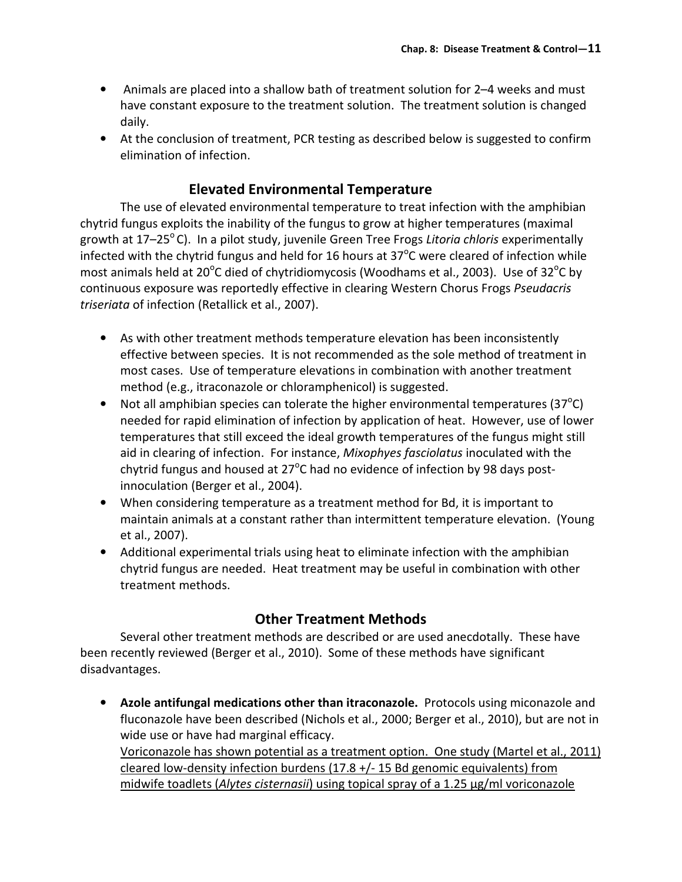- Animals are placed into a shallow bath of treatment solution for 2–4 weeks and must have constant exposure to the treatment solution. The treatment solution is changed daily.
- At the conclusion of treatment, PCR testing as described below is suggested to confirm elimination of infection.

## Elevated Environmental Temperature

 The use of elevated environmental temperature to treat infection with the amphibian chytrid fungus exploits the inability of the fungus to grow at higher temperatures (maximal growth at  $17-25^{\circ}$ C). In a pilot study, juvenile Green Tree Frogs Litoria chloris experimentally infected with the chytrid fungus and held for 16 hours at 37 $^{\circ}$ C were cleared of infection while most animals held at 20<sup>o</sup>C died of chytridiomycosis (Woodhams et al., 2003). Use of 32<sup>o</sup>C by continuous exposure was reportedly effective in clearing Western Chorus Frogs Pseudacris triseriata of infection (Retallick et al., 2007).

- As with other treatment methods temperature elevation has been inconsistently effective between species. It is not recommended as the sole method of treatment in most cases. Use of temperature elevations in combination with another treatment method (e.g., itraconazole or chloramphenicol) is suggested.
- Not all amphibian species can tolerate the higher environmental temperatures (37 $^{\circ}$ C) needed for rapid elimination of infection by application of heat. However, use of lower temperatures that still exceed the ideal growth temperatures of the fungus might still aid in clearing of infection. For instance, Mixophyes fasciolatus inoculated with the chytrid fungus and housed at 27 $\mathrm{^o}$ C had no evidence of infection by 98 days postinnoculation (Berger et al., 2004).
- When considering temperature as a treatment method for Bd, it is important to maintain animals at a constant rather than intermittent temperature elevation. (Young et al., 2007).
- Additional experimental trials using heat to eliminate infection with the amphibian chytrid fungus are needed. Heat treatment may be useful in combination with other treatment methods.

### Other Treatment Methods

 Several other treatment methods are described or are used anecdotally. These have been recently reviewed (Berger et al., 2010). Some of these methods have significant disadvantages.

• Azole antifungal medications other than itraconazole. Protocols using miconazole and fluconazole have been described (Nichols et al., 2000; Berger et al., 2010), but are not in wide use or have had marginal efficacy. Voriconazole has shown potential as a treatment option. One study (Martel et al., 2011) cleared low-density infection burdens  $(17.8 + / - 15$  Bd genomic equivalents) from midwife toadlets (Alytes cisternasii) using topical spray of a 1.25 μg/ml voriconazole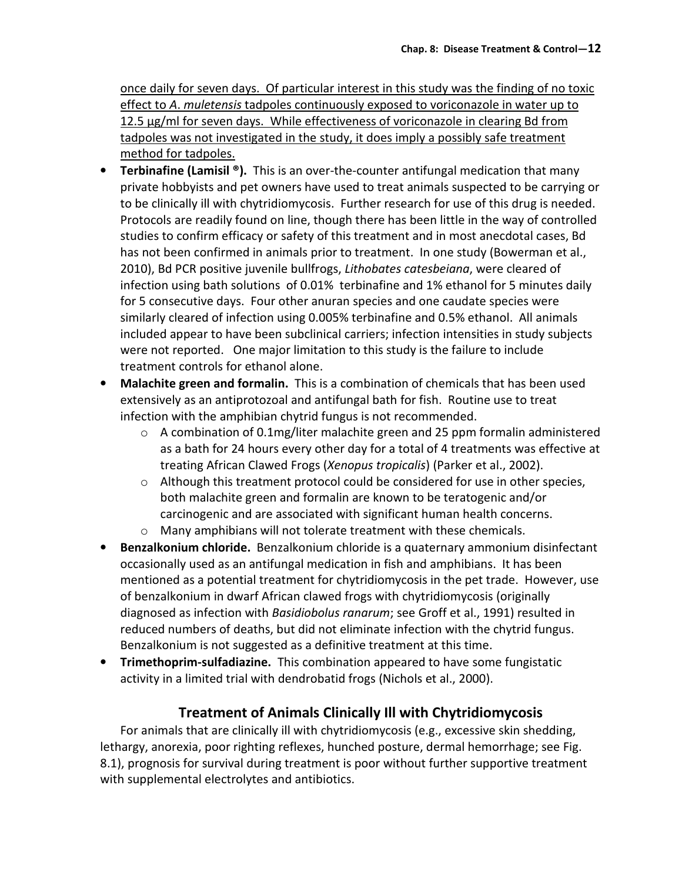once daily for seven days. Of particular interest in this study was the finding of no toxic effect to A. muletensis tadpoles continuously exposed to voriconazole in water up to 12.5 μg/ml for seven days. While effectiveness of voriconazole in clearing Bd from tadpoles was not investigated in the study, it does imply a possibly safe treatment method for tadpoles.

- Terbinafine (Lamisil ®). This is an over-the-counter antifungal medication that many private hobbyists and pet owners have used to treat animals suspected to be carrying or to be clinically ill with chytridiomycosis. Further research for use of this drug is needed. Protocols are readily found on line, though there has been little in the way of controlled studies to confirm efficacy or safety of this treatment and in most anecdotal cases, Bd has not been confirmed in animals prior to treatment. In one study (Bowerman et al., 2010), Bd PCR positive juvenile bullfrogs, Lithobates catesbeiana, were cleared of infection using bath solutions of 0.01% terbinafine and 1% ethanol for 5 minutes daily for 5 consecutive days. Four other anuran species and one caudate species were similarly cleared of infection using 0.005% terbinafine and 0.5% ethanol. All animals included appear to have been subclinical carriers; infection intensities in study subjects were not reported. One major limitation to this study is the failure to include treatment controls for ethanol alone.
- Malachite green and formalin. This is a combination of chemicals that has been used extensively as an antiprotozoal and antifungal bath for fish. Routine use to treat infection with the amphibian chytrid fungus is not recommended.
	- $\circ$  A combination of 0.1mg/liter malachite green and 25 ppm formalin administered as a bath for 24 hours every other day for a total of 4 treatments was effective at treating African Clawed Frogs (Xenopus tropicalis) (Parker et al., 2002).
	- $\circ$  Although this treatment protocol could be considered for use in other species, both malachite green and formalin are known to be teratogenic and/or carcinogenic and are associated with significant human health concerns.
	- o Many amphibians will not tolerate treatment with these chemicals.
- Benzalkonium chloride. Benzalkonium chloride is a quaternary ammonium disinfectant occasionally used as an antifungal medication in fish and amphibians. It has been mentioned as a potential treatment for chytridiomycosis in the pet trade. However, use of benzalkonium in dwarf African clawed frogs with chytridiomycosis (originally diagnosed as infection with Basidiobolus ranarum; see Groff et al., 1991) resulted in reduced numbers of deaths, but did not eliminate infection with the chytrid fungus. Benzalkonium is not suggested as a definitive treatment at this time.
- Trimethoprim-sulfadiazine. This combination appeared to have some fungistatic activity in a limited trial with dendrobatid frogs (Nichols et al., 2000).

# Treatment of Animals Clinically Ill with Chytridiomycosis

For animals that are clinically ill with chytridiomycosis (e.g., excessive skin shedding, lethargy, anorexia, poor righting reflexes, hunched posture, dermal hemorrhage; see Fig. 8.1), prognosis for survival during treatment is poor without further supportive treatment with supplemental electrolytes and antibiotics.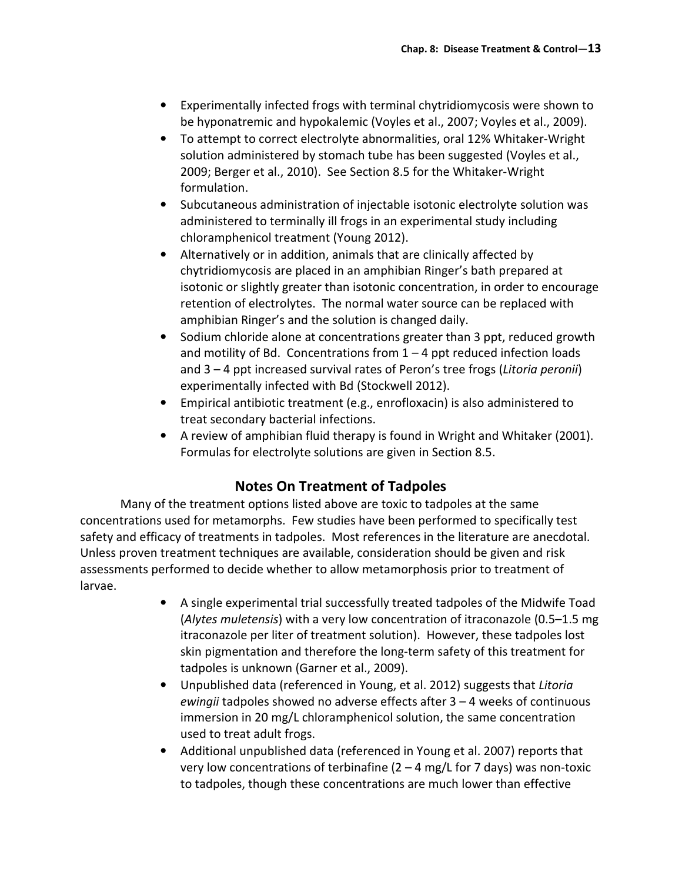- Experimentally infected frogs with terminal chytridiomycosis were shown to be hyponatremic and hypokalemic (Voyles et al., 2007; Voyles et al., 2009).
- To attempt to correct electrolyte abnormalities, oral 12% Whitaker-Wright solution administered by stomach tube has been suggested (Voyles et al., 2009; Berger et al., 2010). See Section 8.5 for the Whitaker-Wright formulation.
- Subcutaneous administration of injectable isotonic electrolyte solution was administered to terminally ill frogs in an experimental study including chloramphenicol treatment (Young 2012).
- Alternatively or in addition, animals that are clinically affected by chytridiomycosis are placed in an amphibian Ringer's bath prepared at isotonic or slightly greater than isotonic concentration, in order to encourage retention of electrolytes. The normal water source can be replaced with amphibian Ringer's and the solution is changed daily.
- Sodium chloride alone at concentrations greater than 3 ppt, reduced growth and motility of Bd. Concentrations from  $1 - 4$  ppt reduced infection loads and 3 – 4 ppt increased survival rates of Peron's tree frogs (Litoria peronii) experimentally infected with Bd (Stockwell 2012).
- Empirical antibiotic treatment (e.g., enrofloxacin) is also administered to treat secondary bacterial infections.
- A review of amphibian fluid therapy is found in Wright and Whitaker (2001). Formulas for electrolyte solutions are given in Section 8.5.

# Notes On Treatment of Tadpoles

Many of the treatment options listed above are toxic to tadpoles at the same concentrations used for metamorphs. Few studies have been performed to specifically test safety and efficacy of treatments in tadpoles. Most references in the literature are anecdotal. Unless proven treatment techniques are available, consideration should be given and risk assessments performed to decide whether to allow metamorphosis prior to treatment of larvae.

- A single experimental trial successfully treated tadpoles of the Midwife Toad (Alytes muletensis) with a very low concentration of itraconazole (0.5–1.5 mg itraconazole per liter of treatment solution). However, these tadpoles lost skin pigmentation and therefore the long-term safety of this treatment for tadpoles is unknown (Garner et al., 2009).
- Unpublished data (referenced in Young, et al. 2012) suggests that Litoria ewingii tadpoles showed no adverse effects after 3 – 4 weeks of continuous immersion in 20 mg/L chloramphenicol solution, the same concentration used to treat adult frogs.
- Additional unpublished data (referenced in Young et al. 2007) reports that very low concentrations of terbinafine (2 – 4 mg/L for 7 days) was non-toxic to tadpoles, though these concentrations are much lower than effective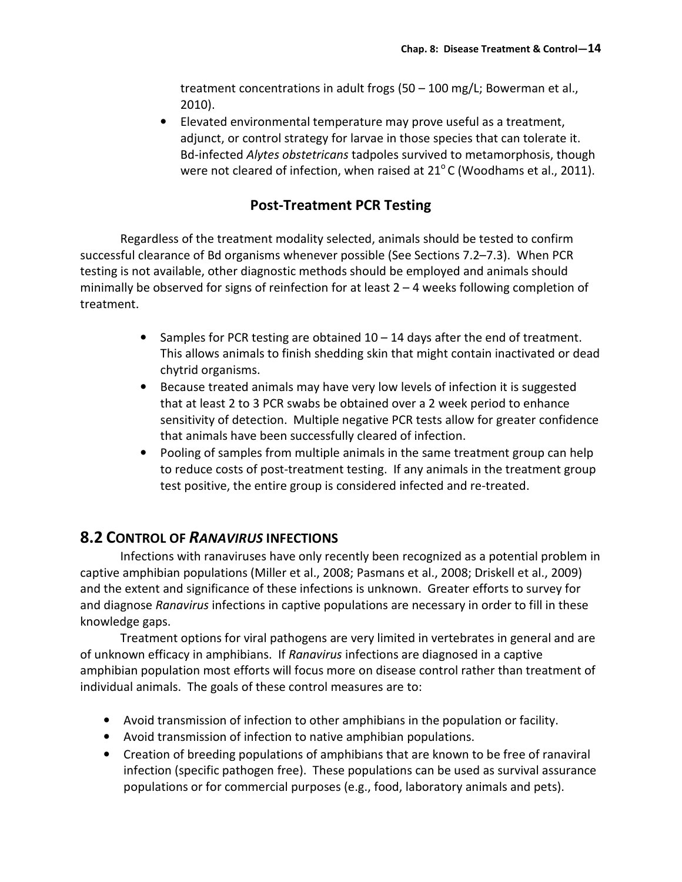treatment concentrations in adult frogs (50 – 100 mg/L; Bowerman et al., 2010).

• Elevated environmental temperature may prove useful as a treatment, adjunct, or control strategy for larvae in those species that can tolerate it. Bd-infected Alytes obstetricans tadpoles survived to metamorphosis, though were not cleared of infection, when raised at  $21^{\circ}$ C (Woodhams et al., 2011).

## Post-Treatment PCR Testing

Regardless of the treatment modality selected, animals should be tested to confirm successful clearance of Bd organisms whenever possible (See Sections 7.2–7.3). When PCR testing is not available, other diagnostic methods should be employed and animals should minimally be observed for signs of reinfection for at least 2 – 4 weeks following completion of treatment.

- Samples for PCR testing are obtained  $10 14$  days after the end of treatment. This allows animals to finish shedding skin that might contain inactivated or dead chytrid organisms.
- Because treated animals may have very low levels of infection it is suggested that at least 2 to 3 PCR swabs be obtained over a 2 week period to enhance sensitivity of detection. Multiple negative PCR tests allow for greater confidence that animals have been successfully cleared of infection.
- Pooling of samples from multiple animals in the same treatment group can help to reduce costs of post-treatment testing. If any animals in the treatment group test positive, the entire group is considered infected and re-treated.

# 8.2 CONTROL OF RANAVIRUS INFECTIONS

Infections with ranaviruses have only recently been recognized as a potential problem in captive amphibian populations (Miller et al., 2008; Pasmans et al., 2008; Driskell et al., 2009) and the extent and significance of these infections is unknown. Greater efforts to survey for and diagnose Ranavirus infections in captive populations are necessary in order to fill in these knowledge gaps.

 Treatment options for viral pathogens are very limited in vertebrates in general and are of unknown efficacy in amphibians. If Ranavirus infections are diagnosed in a captive amphibian population most efforts will focus more on disease control rather than treatment of individual animals. The goals of these control measures are to:

- Avoid transmission of infection to other amphibians in the population or facility.
- Avoid transmission of infection to native amphibian populations.
- Creation of breeding populations of amphibians that are known to be free of ranaviral infection (specific pathogen free). These populations can be used as survival assurance populations or for commercial purposes (e.g., food, laboratory animals and pets).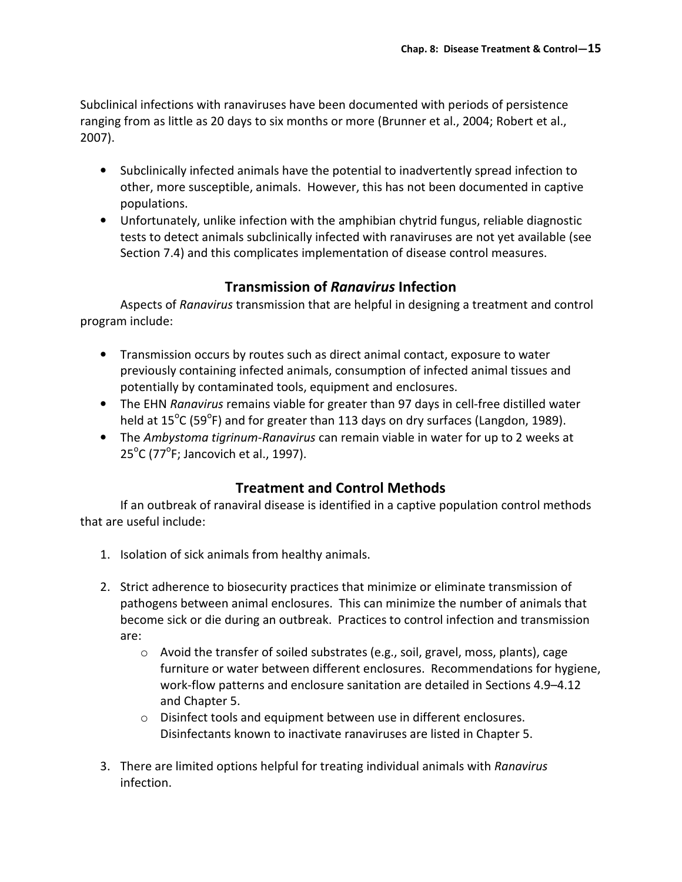Subclinical infections with ranaviruses have been documented with periods of persistence ranging from as little as 20 days to six months or more (Brunner et al., 2004; Robert et al., 2007).

- Subclinically infected animals have the potential to inadvertently spread infection to other, more susceptible, animals. However, this has not been documented in captive populations.
- Unfortunately, unlike infection with the amphibian chytrid fungus, reliable diagnostic tests to detect animals subclinically infected with ranaviruses are not yet available (see Section 7.4) and this complicates implementation of disease control measures.

## Transmission of Ranavirus Infection

 Aspects of Ranavirus transmission that are helpful in designing a treatment and control program include:

- Transmission occurs by routes such as direct animal contact, exposure to water previously containing infected animals, consumption of infected animal tissues and potentially by contaminated tools, equipment and enclosures.
- The EHN Ranavirus remains viable for greater than 97 days in cell-free distilled water held at  $15^{\circ}$ C (59 $^{\circ}$ F) and for greater than 113 days on dry surfaces (Langdon, 1989).
- The Ambystoma tigrinum-Ranavirus can remain viable in water for up to 2 weeks at  $25^{\circ}$ C (77 $^{\circ}$ F; Jancovich et al., 1997).

# Treatment and Control Methods

 If an outbreak of ranaviral disease is identified in a captive population control methods that are useful include:

- 1. Isolation of sick animals from healthy animals.
- 2. Strict adherence to biosecurity practices that minimize or eliminate transmission of pathogens between animal enclosures. This can minimize the number of animals that become sick or die during an outbreak. Practices to control infection and transmission are:
	- $\circ$  Avoid the transfer of soiled substrates (e.g., soil, gravel, moss, plants), cage furniture or water between different enclosures. Recommendations for hygiene, work-flow patterns and enclosure sanitation are detailed in Sections 4.9–4.12 and Chapter 5.
	- o Disinfect tools and equipment between use in different enclosures. Disinfectants known to inactivate ranaviruses are listed in Chapter 5.
- 3. There are limited options helpful for treating individual animals with Ranavirus infection.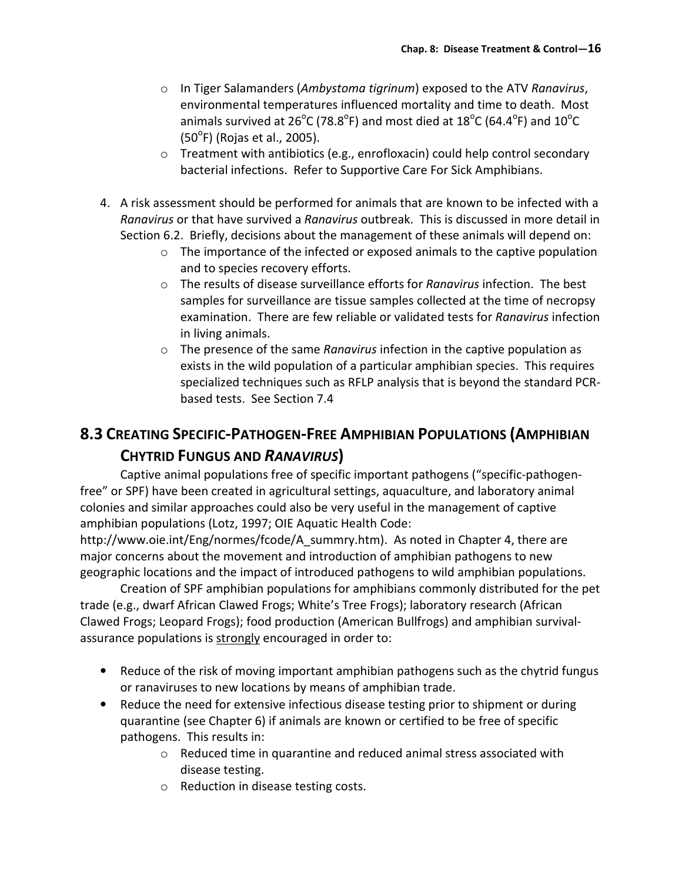- $\circ$  In Tiger Salamanders (Ambystoma tigrinum) exposed to the ATV Ranavirus, environmental temperatures influenced mortality and time to death. Most animals survived at 26<sup>o</sup>C (78.8<sup>o</sup>F) and most died at 18<sup>o</sup>C (64.4<sup>o</sup>F) and 10<sup>o</sup>C (50°F) (Rojas et al., 2005).
- $\circ$  Treatment with antibiotics (e.g., enrofloxacin) could help control secondary bacterial infections. Refer to Supportive Care For Sick Amphibians.
- 4. A risk assessment should be performed for animals that are known to be infected with a Ranavirus or that have survived a Ranavirus outbreak. This is discussed in more detail in Section 6.2. Briefly, decisions about the management of these animals will depend on:
	- $\circ$  The importance of the infected or exposed animals to the captive population and to species recovery efforts.
	- $\circ$  The results of disease surveillance efforts for *Ranavirus* infection. The best samples for surveillance are tissue samples collected at the time of necropsy examination. There are few reliable or validated tests for Ranavirus infection in living animals.
	- $\circ$  The presence of the same Ranavirus infection in the captive population as exists in the wild population of a particular amphibian species. This requires specialized techniques such as RFLP analysis that is beyond the standard PCRbased tests. See Section 7.4

# 8.3 CREATING SPECIFIC-PATHOGEN-FREE AMPHIBIAN POPULATIONS (AMPHIBIAN CHYTRID FUNGUS AND RANAVIRUS)

Captive animal populations free of specific important pathogens ("specific-pathogenfree" or SPF) have been created in agricultural settings, aquaculture, and laboratory animal colonies and similar approaches could also be very useful in the management of captive amphibian populations (Lotz, 1997; OIE Aquatic Health Code:

http://www.oie.int/Eng/normes/fcode/A\_summry.htm). As noted in Chapter 4, there are major concerns about the movement and introduction of amphibian pathogens to new geographic locations and the impact of introduced pathogens to wild amphibian populations.

 Creation of SPF amphibian populations for amphibians commonly distributed for the pet trade (e.g., dwarf African Clawed Frogs; White's Tree Frogs); laboratory research (African Clawed Frogs; Leopard Frogs); food production (American Bullfrogs) and amphibian survivalassurance populations is strongly encouraged in order to:

- Reduce of the risk of moving important amphibian pathogens such as the chytrid fungus or ranaviruses to new locations by means of amphibian trade.
- Reduce the need for extensive infectious disease testing prior to shipment or during quarantine (see Chapter 6) if animals are known or certified to be free of specific pathogens. This results in:
	- o Reduced time in quarantine and reduced animal stress associated with disease testing.
	- o Reduction in disease testing costs.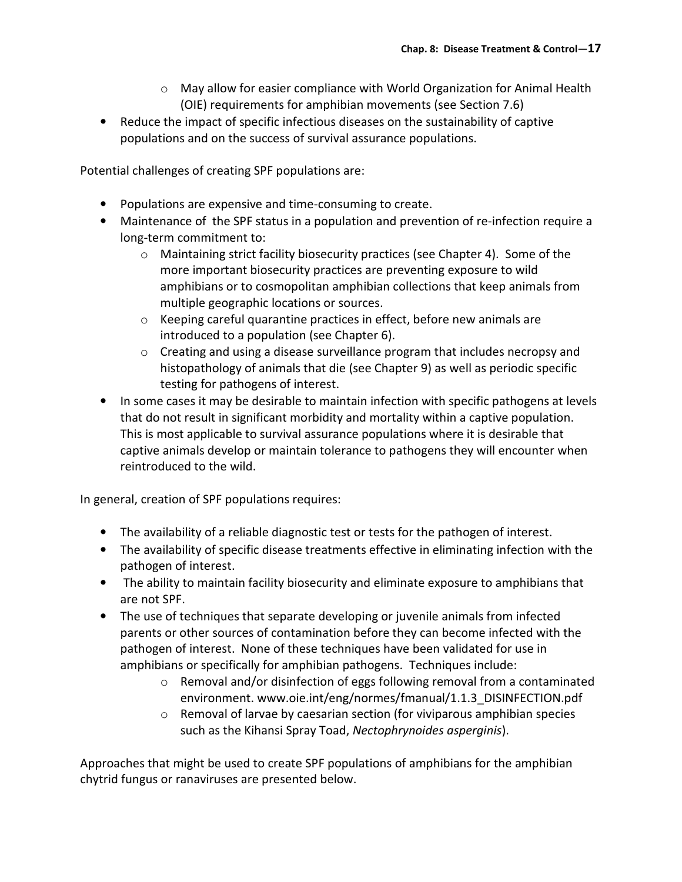- $\circ$  May allow for easier compliance with World Organization for Animal Health (OIE) requirements for amphibian movements (see Section 7.6)
- Reduce the impact of specific infectious diseases on the sustainability of captive populations and on the success of survival assurance populations.

Potential challenges of creating SPF populations are:

- Populations are expensive and time-consuming to create.
- Maintenance of the SPF status in a population and prevention of re-infection require a long-term commitment to:
	- o Maintaining strict facility biosecurity practices (see Chapter 4). Some of the more important biosecurity practices are preventing exposure to wild amphibians or to cosmopolitan amphibian collections that keep animals from multiple geographic locations or sources.
	- o Keeping careful quarantine practices in effect, before new animals are introduced to a population (see Chapter 6).
	- o Creating and using a disease surveillance program that includes necropsy and histopathology of animals that die (see Chapter 9) as well as periodic specific testing for pathogens of interest.
- In some cases it may be desirable to maintain infection with specific pathogens at levels that do not result in significant morbidity and mortality within a captive population. This is most applicable to survival assurance populations where it is desirable that captive animals develop or maintain tolerance to pathogens they will encounter when reintroduced to the wild.

In general, creation of SPF populations requires:

- The availability of a reliable diagnostic test or tests for the pathogen of interest.
- The availability of specific disease treatments effective in eliminating infection with the pathogen of interest.
- The ability to maintain facility biosecurity and eliminate exposure to amphibians that are not SPF.
- The use of techniques that separate developing or juvenile animals from infected parents or other sources of contamination before they can become infected with the pathogen of interest. None of these techniques have been validated for use in amphibians or specifically for amphibian pathogens. Techniques include:
	- $\circ$  Removal and/or disinfection of eggs following removal from a contaminated environment. www.oie.int/eng/normes/fmanual/1.1.3\_DISINFECTION.pdf
	- o Removal of larvae by caesarian section (for viviparous amphibian species such as the Kihansi Spray Toad, Nectophrynoides asperginis).

Approaches that might be used to create SPF populations of amphibians for the amphibian chytrid fungus or ranaviruses are presented below.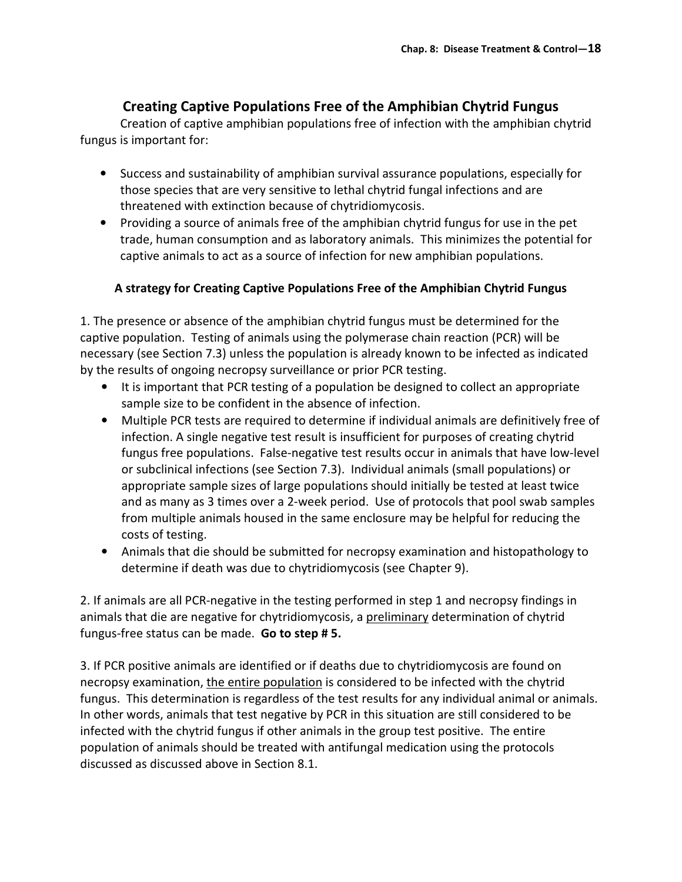## Creating Captive Populations Free of the Amphibian Chytrid Fungus

Creation of captive amphibian populations free of infection with the amphibian chytrid fungus is important for:

- Success and sustainability of amphibian survival assurance populations, especially for those species that are very sensitive to lethal chytrid fungal infections and are threatened with extinction because of chytridiomycosis.
- Providing a source of animals free of the amphibian chytrid fungus for use in the pet trade, human consumption and as laboratory animals. This minimizes the potential for captive animals to act as a source of infection for new amphibian populations.

#### A strategy for Creating Captive Populations Free of the Amphibian Chytrid Fungus

1. The presence or absence of the amphibian chytrid fungus must be determined for the captive population. Testing of animals using the polymerase chain reaction (PCR) will be necessary (see Section 7.3) unless the population is already known to be infected as indicated by the results of ongoing necropsy surveillance or prior PCR testing.

- It is important that PCR testing of a population be designed to collect an appropriate sample size to be confident in the absence of infection.
- Multiple PCR tests are required to determine if individual animals are definitively free of infection. A single negative test result is insufficient for purposes of creating chytrid fungus free populations. False-negative test results occur in animals that have low-level or subclinical infections (see Section 7.3). Individual animals (small populations) or appropriate sample sizes of large populations should initially be tested at least twice and as many as 3 times over a 2-week period. Use of protocols that pool swab samples from multiple animals housed in the same enclosure may be helpful for reducing the costs of testing.
- Animals that die should be submitted for necropsy examination and histopathology to determine if death was due to chytridiomycosis (see Chapter 9).

2. If animals are all PCR-negative in the testing performed in step 1 and necropsy findings in animals that die are negative for chytridiomycosis, a preliminary determination of chytrid fungus-free status can be made. Go to step #5.

3. If PCR positive animals are identified or if deaths due to chytridiomycosis are found on necropsy examination, the entire population is considered to be infected with the chytrid fungus. This determination is regardless of the test results for any individual animal or animals. In other words, animals that test negative by PCR in this situation are still considered to be infected with the chytrid fungus if other animals in the group test positive. The entire population of animals should be treated with antifungal medication using the protocols discussed as discussed above in Section 8.1.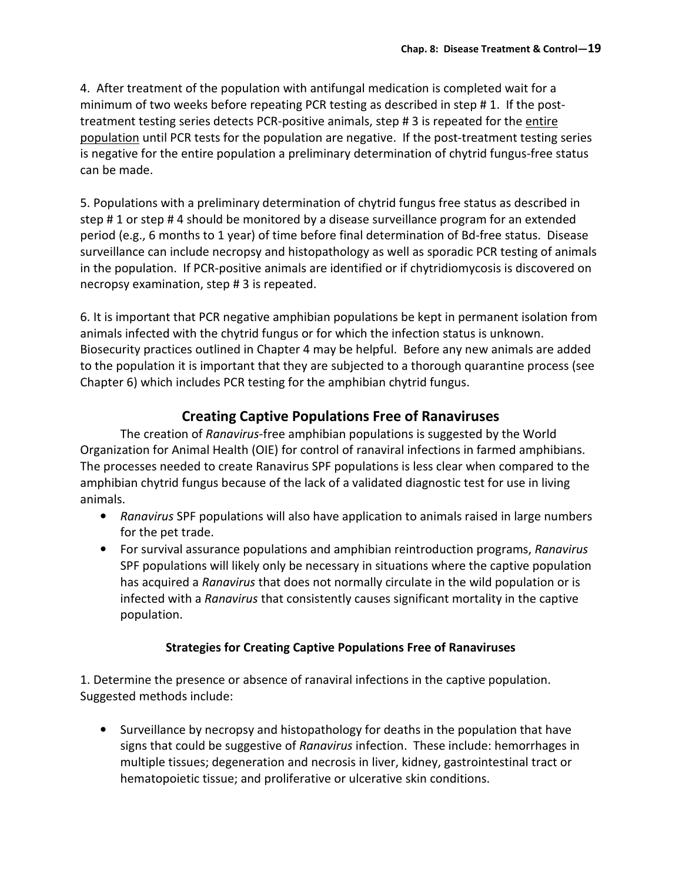4. After treatment of the population with antifungal medication is completed wait for a minimum of two weeks before repeating PCR testing as described in step # 1. If the posttreatment testing series detects PCR-positive animals, step # 3 is repeated for the entire population until PCR tests for the population are negative. If the post-treatment testing series is negative for the entire population a preliminary determination of chytrid fungus-free status can be made.

5. Populations with a preliminary determination of chytrid fungus free status as described in step # 1 or step # 4 should be monitored by a disease surveillance program for an extended period (e.g., 6 months to 1 year) of time before final determination of Bd-free status. Disease surveillance can include necropsy and histopathology as well as sporadic PCR testing of animals in the population. If PCR-positive animals are identified or if chytridiomycosis is discovered on necropsy examination, step # 3 is repeated.

6. It is important that PCR negative amphibian populations be kept in permanent isolation from animals infected with the chytrid fungus or for which the infection status is unknown. Biosecurity practices outlined in Chapter 4 may be helpful. Before any new animals are added to the population it is important that they are subjected to a thorough quarantine process (see Chapter 6) which includes PCR testing for the amphibian chytrid fungus.

## Creating Captive Populations Free of Ranaviruses

The creation of Ranavirus-free amphibian populations is suggested by the World Organization for Animal Health (OIE) for control of ranaviral infections in farmed amphibians. The processes needed to create Ranavirus SPF populations is less clear when compared to the amphibian chytrid fungus because of the lack of a validated diagnostic test for use in living animals.

- Ranavirus SPF populations will also have application to animals raised in large numbers for the pet trade.
- For survival assurance populations and amphibian reintroduction programs, Ranavirus SPF populations will likely only be necessary in situations where the captive population has acquired a Ranavirus that does not normally circulate in the wild population or is infected with a Ranavirus that consistently causes significant mortality in the captive population.

### Strategies for Creating Captive Populations Free of Ranaviruses

1. Determine the presence or absence of ranaviral infections in the captive population. Suggested methods include:

• Surveillance by necropsy and histopathology for deaths in the population that have signs that could be suggestive of Ranavirus infection. These include: hemorrhages in multiple tissues; degeneration and necrosis in liver, kidney, gastrointestinal tract or hematopoietic tissue; and proliferative or ulcerative skin conditions.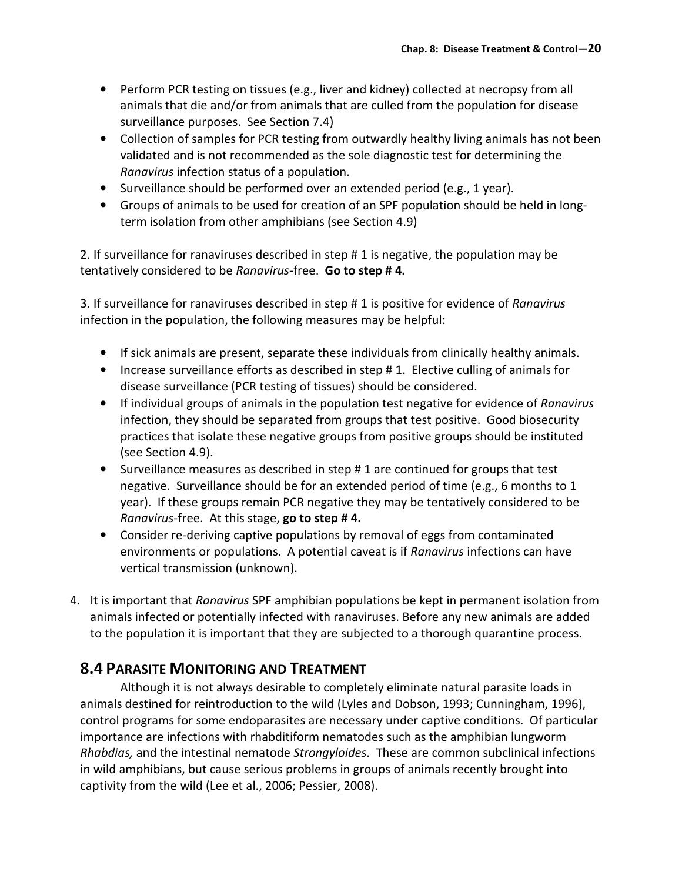- Perform PCR testing on tissues (e.g., liver and kidney) collected at necropsy from all animals that die and/or from animals that are culled from the population for disease surveillance purposes. See Section 7.4)
- Collection of samples for PCR testing from outwardly healthy living animals has not been validated and is not recommended as the sole diagnostic test for determining the Ranavirus infection status of a population.
- Surveillance should be performed over an extended period (e.g., 1 year).
- Groups of animals to be used for creation of an SPF population should be held in longterm isolation from other amphibians (see Section 4.9)

2. If surveillance for ranaviruses described in step # 1 is negative, the population may be tentatively considered to be Ranavirus-free. Go to step #4.

3. If surveillance for ranaviruses described in step # 1 is positive for evidence of Ranavirus infection in the population, the following measures may be helpful:

- If sick animals are present, separate these individuals from clinically healthy animals.
- Increase surveillance efforts as described in step # 1. Elective culling of animals for disease surveillance (PCR testing of tissues) should be considered.
- If individual groups of animals in the population test negative for evidence of Ranavirus infection, they should be separated from groups that test positive. Good biosecurity practices that isolate these negative groups from positive groups should be instituted (see Section 4.9).
- Surveillance measures as described in step # 1 are continued for groups that test negative. Surveillance should be for an extended period of time (e.g., 6 months to 1 year). If these groups remain PCR negative they may be tentatively considered to be Ranavirus-free. At this stage, go to step #4.
- Consider re-deriving captive populations by removal of eggs from contaminated environments or populations. A potential caveat is if Ranavirus infections can have vertical transmission (unknown).
- 4. It is important that Ranavirus SPF amphibian populations be kept in permanent isolation from animals infected or potentially infected with ranaviruses. Before any new animals are added to the population it is important that they are subjected to a thorough quarantine process.

# 8.4 PARASITE MONITORING AND TREATMENT

 Although it is not always desirable to completely eliminate natural parasite loads in animals destined for reintroduction to the wild (Lyles and Dobson, 1993; Cunningham, 1996), control programs for some endoparasites are necessary under captive conditions. Of particular importance are infections with rhabditiform nematodes such as the amphibian lungworm Rhabdias, and the intestinal nematode Strongyloides. These are common subclinical infections in wild amphibians, but cause serious problems in groups of animals recently brought into captivity from the wild (Lee et al., 2006; Pessier, 2008).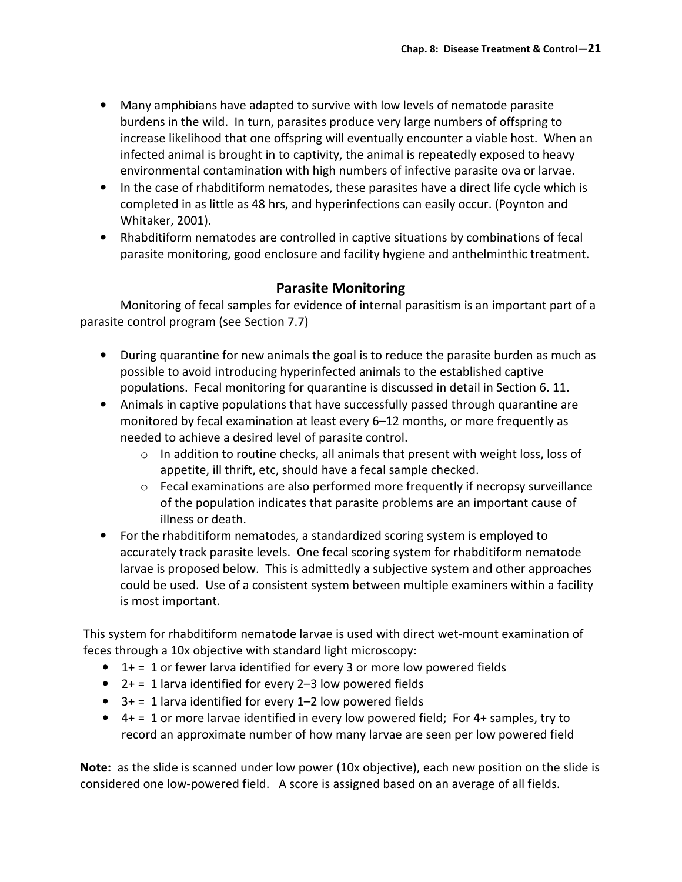- Many amphibians have adapted to survive with low levels of nematode parasite burdens in the wild. In turn, parasites produce very large numbers of offspring to increase likelihood that one offspring will eventually encounter a viable host. When an infected animal is brought in to captivity, the animal is repeatedly exposed to heavy environmental contamination with high numbers of infective parasite ova or larvae.
- In the case of rhabditiform nematodes, these parasites have a direct life cycle which is completed in as little as 48 hrs, and hyperinfections can easily occur. (Poynton and Whitaker, 2001).
- Rhabditiform nematodes are controlled in captive situations by combinations of fecal parasite monitoring, good enclosure and facility hygiene and anthelminthic treatment.

## Parasite Monitoring

 Monitoring of fecal samples for evidence of internal parasitism is an important part of a parasite control program (see Section 7.7)

- During quarantine for new animals the goal is to reduce the parasite burden as much as possible to avoid introducing hyperinfected animals to the established captive populations. Fecal monitoring for quarantine is discussed in detail in Section 6. 11.
- Animals in captive populations that have successfully passed through quarantine are monitored by fecal examination at least every 6–12 months, or more frequently as needed to achieve a desired level of parasite control.
	- o In addition to routine checks, all animals that present with weight loss, loss of appetite, ill thrift, etc, should have a fecal sample checked.
	- $\circ$  Fecal examinations are also performed more frequently if necropsy surveillance of the population indicates that parasite problems are an important cause of illness or death.
- For the rhabditiform nematodes, a standardized scoring system is employed to accurately track parasite levels. One fecal scoring system for rhabditiform nematode larvae is proposed below. This is admittedly a subjective system and other approaches could be used. Use of a consistent system between multiple examiners within a facility is most important.

This system for rhabditiform nematode larvae is used with direct wet-mount examination of feces through a 10x objective with standard light microscopy:

- $\bullet$  1+ = 1 or fewer larva identified for every 3 or more low powered fields
- $2+ = 1$  larva identified for every 2-3 low powered fields
- $\bullet$  3+ = 1 larva identified for every 1-2 low powered fields
- $\bullet$  4+ = 1 or more larvae identified in every low powered field; For 4+ samples, try to record an approximate number of how many larvae are seen per low powered field

Note: as the slide is scanned under low power (10x objective), each new position on the slide is considered one low-powered field. A score is assigned based on an average of all fields.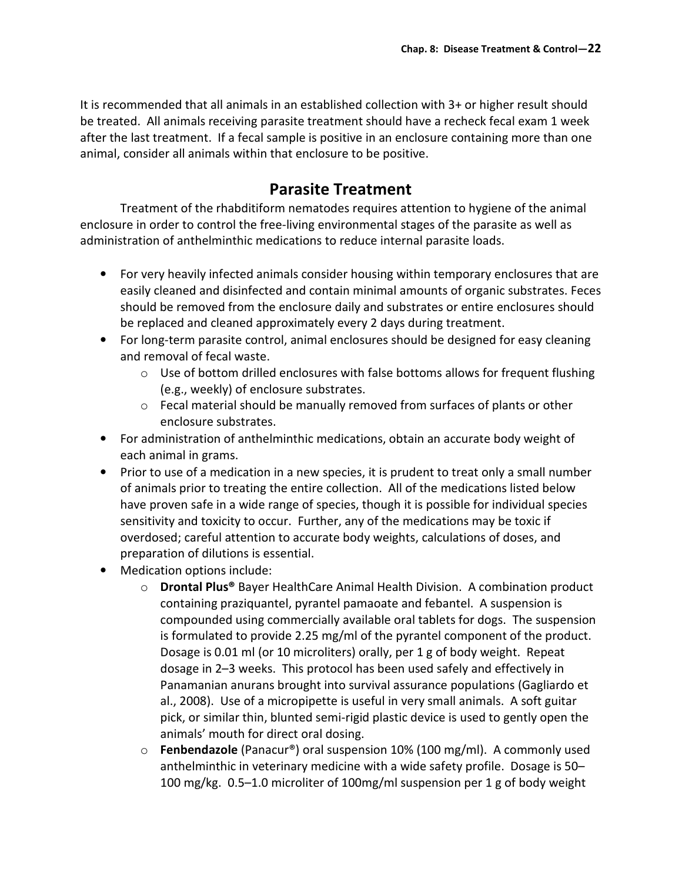It is recommended that all animals in an established collection with 3+ or higher result should be treated. All animals receiving parasite treatment should have a recheck fecal exam 1 week after the last treatment. If a fecal sample is positive in an enclosure containing more than one animal, consider all animals within that enclosure to be positive.

# Parasite Treatment

 Treatment of the rhabditiform nematodes requires attention to hygiene of the animal enclosure in order to control the free-living environmental stages of the parasite as well as administration of anthelminthic medications to reduce internal parasite loads.

- For very heavily infected animals consider housing within temporary enclosures that are easily cleaned and disinfected and contain minimal amounts of organic substrates. Feces should be removed from the enclosure daily and substrates or entire enclosures should be replaced and cleaned approximately every 2 days during treatment.
- For long-term parasite control, animal enclosures should be designed for easy cleaning and removal of fecal waste.
	- o Use of bottom drilled enclosures with false bottoms allows for frequent flushing (e.g., weekly) of enclosure substrates.
	- $\circ$  Fecal material should be manually removed from surfaces of plants or other enclosure substrates.
- For administration of anthelminthic medications, obtain an accurate body weight of each animal in grams.
- Prior to use of a medication in a new species, it is prudent to treat only a small number of animals prior to treating the entire collection. All of the medications listed below have proven safe in a wide range of species, though it is possible for individual species sensitivity and toxicity to occur. Further, any of the medications may be toxic if overdosed; careful attention to accurate body weights, calculations of doses, and preparation of dilutions is essential.
- Medication options include:
	- o Drontal Plus® Bayer HealthCare Animal Health Division. A combination product containing praziquantel, pyrantel pamaoate and febantel. A suspension is compounded using commercially available oral tablets for dogs. The suspension is formulated to provide 2.25 mg/ml of the pyrantel component of the product. Dosage is 0.01 ml (or 10 microliters) orally, per 1 g of body weight. Repeat dosage in 2–3 weeks. This protocol has been used safely and effectively in Panamanian anurans brought into survival assurance populations (Gagliardo et al., 2008). Use of a micropipette is useful in very small animals. A soft guitar pick, or similar thin, blunted semi-rigid plastic device is used to gently open the animals' mouth for direct oral dosing.
	- $\circ$  Fenbendazole (Panacur®) oral suspension 10% (100 mg/ml). A commonly used anthelminthic in veterinary medicine with a wide safety profile. Dosage is 50– 100 mg/kg. 0.5–1.0 microliter of 100mg/ml suspension per 1 g of body weight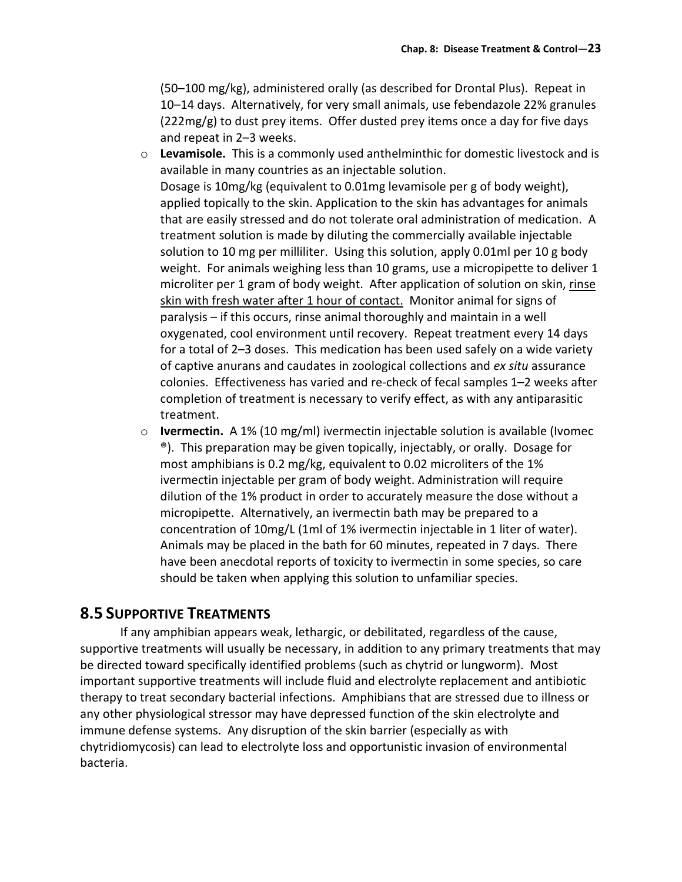(50–100 mg/kg), administered orally (as described for Drontal Plus). Repeat in 10–14 days. Alternatively, for very small animals, use febendazole 22% granules (222mg/g) to dust prey items. Offer dusted prey items once a day for five days and repeat in 2–3 weeks.

- $\circ$  Levamisole. This is a commonly used anthelminthic for domestic livestock and is available in many countries as an injectable solution. Dosage is 10mg/kg (equivalent to 0.01mg levamisole per g of body weight), applied topically to the skin. Application to the skin has advantages for animals that are easily stressed and do not tolerate oral administration of medication. A treatment solution is made by diluting the commercially available injectable solution to 10 mg per milliliter. Using this solution, apply 0.01ml per 10 g body weight. For animals weighing less than 10 grams, use a micropipette to deliver 1 microliter per 1 gram of body weight. After application of solution on skin, rinse skin with fresh water after 1 hour of contact. Monitor animal for signs of paralysis – if this occurs, rinse animal thoroughly and maintain in a well oxygenated, cool environment until recovery. Repeat treatment every 14 days for a total of 2–3 doses. This medication has been used safely on a wide variety of captive anurans and caudates in zoological collections and ex situ assurance colonies. Effectiveness has varied and re-check of fecal samples 1–2 weeks after completion of treatment is necessary to verify effect, as with any antiparasitic treatment.
- $\circ$  Ivermectin. A 1% (10 mg/ml) ivermectin injectable solution is available (Ivomec ®). This preparation may be given topically, injectably, or orally. Dosage for most amphibians is 0.2 mg/kg, equivalent to 0.02 microliters of the 1% ivermectin injectable per gram of body weight. Administration will require dilution of the 1% product in order to accurately measure the dose without a micropipette. Alternatively, an ivermectin bath may be prepared to a concentration of 10mg/L (1ml of 1% ivermectin injectable in 1 liter of water). Animals may be placed in the bath for 60 minutes, repeated in 7 days. There have been anecdotal reports of toxicity to ivermectin in some species, so care should be taken when applying this solution to unfamiliar species.

### 8.5 SUPPORTIVE TREATMENTS

 If any amphibian appears weak, lethargic, or debilitated, regardless of the cause, supportive treatments will usually be necessary, in addition to any primary treatments that may be directed toward specifically identified problems (such as chytrid or lungworm). Most important supportive treatments will include fluid and electrolyte replacement and antibiotic therapy to treat secondary bacterial infections. Amphibians that are stressed due to illness or any other physiological stressor may have depressed function of the skin electrolyte and immune defense systems. Any disruption of the skin barrier (especially as with chytridiomycosis) can lead to electrolyte loss and opportunistic invasion of environmental bacteria.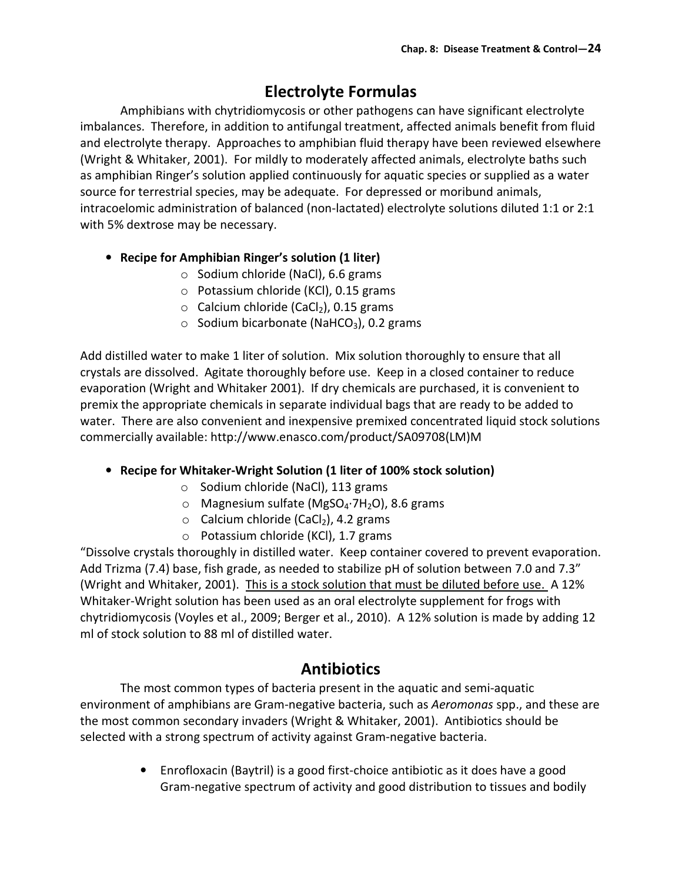# Electrolyte Formulas

Amphibians with chytridiomycosis or other pathogens can have significant electrolyte imbalances. Therefore, in addition to antifungal treatment, affected animals benefit from fluid and electrolyte therapy. Approaches to amphibian fluid therapy have been reviewed elsewhere (Wright & Whitaker, 2001). For mildly to moderately affected animals, electrolyte baths such as amphibian Ringer's solution applied continuously for aquatic species or supplied as a water source for terrestrial species, may be adequate. For depressed or moribund animals, intracoelomic administration of balanced (non-lactated) electrolyte solutions diluted 1:1 or 2:1 with 5% dextrose may be necessary.

### • Recipe for Amphibian Ringer's solution (1 liter)

- o Sodium chloride (NaCl), 6.6 grams
- $\circ$  Potassium chloride (KCl), 0.15 grams
- $\circ$  Calcium chloride (CaCl<sub>2</sub>), 0.15 grams
- $\circ$  Sodium bicarbonate (NaHCO<sub>3</sub>), 0.2 grams

Add distilled water to make 1 liter of solution. Mix solution thoroughly to ensure that all crystals are dissolved. Agitate thoroughly before use. Keep in a closed container to reduce evaporation (Wright and Whitaker 2001). If dry chemicals are purchased, it is convenient to premix the appropriate chemicals in separate individual bags that are ready to be added to water. There are also convenient and inexpensive premixed concentrated liquid stock solutions commercially available: http://www.enasco.com/product/SA09708(LM)M

### • Recipe for Whitaker-Wright Solution (1 liter of 100% stock solution)

- o Sodium chloride (NaCl), 113 grams
- o Magnesium sulfate (MgSO4∙7H2O), 8.6 grams
- $\circ$  Calcium chloride (CaCl<sub>2</sub>), 4.2 grams
- o Potassium chloride (KCl), 1.7 grams

"Dissolve crystals thoroughly in distilled water. Keep container covered to prevent evaporation. Add Trizma (7.4) base, fish grade, as needed to stabilize pH of solution between 7.0 and 7.3" (Wright and Whitaker, 2001). This is a stock solution that must be diluted before use. A 12% Whitaker-Wright solution has been used as an oral electrolyte supplement for frogs with chytridiomycosis (Voyles et al., 2009; Berger et al., 2010). A 12% solution is made by adding 12 ml of stock solution to 88 ml of distilled water.

# Antibiotics

 The most common types of bacteria present in the aquatic and semi-aquatic environment of amphibians are Gram-negative bacteria, such as Aeromonas spp., and these are the most common secondary invaders (Wright & Whitaker, 2001). Antibiotics should be selected with a strong spectrum of activity against Gram-negative bacteria.

> • Enrofloxacin (Baytril) is a good first-choice antibiotic as it does have a good Gram-negative spectrum of activity and good distribution to tissues and bodily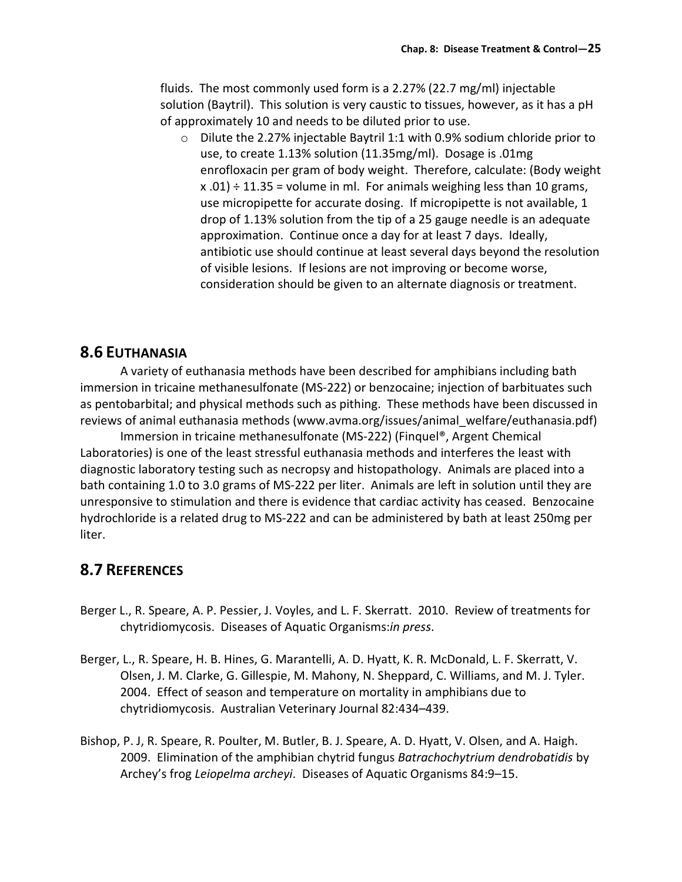fluids. The most commonly used form is a 2.27% (22.7 mg/ml) injectable solution (Baytril). This solution is very caustic to tissues, however, as it has a pH of approximately 10 and needs to be diluted prior to use.

 $\circ$  Dilute the 2.27% injectable Baytril 1:1 with 0.9% sodium chloride prior to use, to create 1.13% solution (11.35mg/ml). Dosage is .01mg enrofloxacin per gram of body weight. Therefore, calculate: (Body weight  $x.01$  ÷ 11.35 = volume in ml. For animals weighing less than 10 grams, use micropipette for accurate dosing. If micropipette is not available, 1 drop of 1.13% solution from the tip of a 25 gauge needle is an adequate approximation. Continue once a day for at least 7 days. Ideally, antibiotic use should continue at least several days beyond the resolution of visible lesions. If lesions are not improving or become worse, consideration should be given to an alternate diagnosis or treatment.

## 8.6 EUTHANASIA

 A variety of euthanasia methods have been described for amphibians including bath immersion in tricaine methanesulfonate (MS-222) or benzocaine; injection of barbituates such as pentobarbital; and physical methods such as pithing. These methods have been discussed in reviews of animal euthanasia methods (www.avma.org/issues/animal\_welfare/euthanasia.pdf)

 Immersion in tricaine methanesulfonate (MS-222) (Finquel®, Argent Chemical Laboratories) is one of the least stressful euthanasia methods and interferes the least with diagnostic laboratory testing such as necropsy and histopathology. Animals are placed into a bath containing 1.0 to 3.0 grams of MS-222 per liter. Animals are left in solution until they are unresponsive to stimulation and there is evidence that cardiac activity has ceased. Benzocaine hydrochloride is a related drug to MS-222 and can be administered by bath at least 250mg per liter.

### 8.7 REFERENCES

- Berger L., R. Speare, A. P. Pessier, J. Voyles, and L. F. Skerratt. 2010. Review of treatments for chytridiomycosis. Diseases of Aquatic Organisms:in press.
- Berger, L., R. Speare, H. B. Hines, G. Marantelli, A. D. Hyatt, K. R. McDonald, L. F. Skerratt, V. Olsen, J. M. Clarke, G. Gillespie, M. Mahony, N. Sheppard, C. Williams, and M. J. Tyler. 2004. Effect of season and temperature on mortality in amphibians due to chytridiomycosis. Australian Veterinary Journal 82:434–439.
- Bishop, P. J, R. Speare, R. Poulter, M. Butler, B. J. Speare, A. D. Hyatt, V. Olsen, and A. Haigh. 2009. Elimination of the amphibian chytrid fungus Batrachochytrium dendrobatidis by Archey's frog Leiopelma archeyi. Diseases of Aquatic Organisms 84:9–15.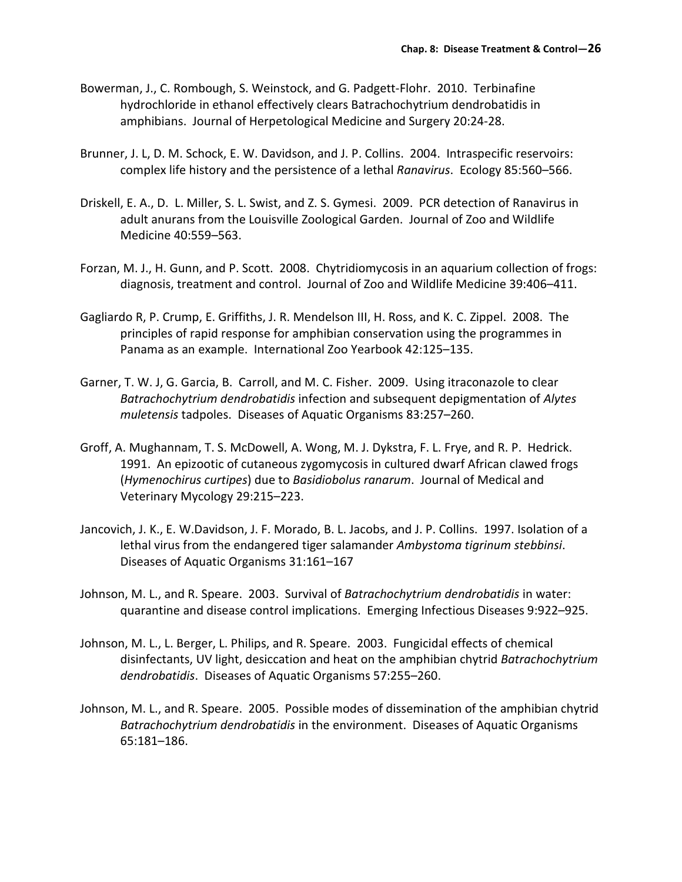- Bowerman, J., C. Rombough, S. Weinstock, and G. Padgett-Flohr. 2010. Terbinafine hydrochloride in ethanol effectively clears Batrachochytrium dendrobatidis in amphibians. Journal of Herpetological Medicine and Surgery 20:24-28.
- Brunner, J. L, D. M. Schock, E. W. Davidson, and J. P. Collins. 2004. Intraspecific reservoirs: complex life history and the persistence of a lethal Ranavirus. Ecology 85:560–566.
- Driskell, E. A., D. L. Miller, S. L. Swist, and Z. S. Gymesi. 2009. PCR detection of Ranavirus in adult anurans from the Louisville Zoological Garden. Journal of Zoo and Wildlife Medicine 40:559–563.
- Forzan, M. J., H. Gunn, and P. Scott. 2008. Chytridiomycosis in an aquarium collection of frogs: diagnosis, treatment and control. Journal of Zoo and Wildlife Medicine 39:406–411.
- Gagliardo R, P. Crump, E. Griffiths, J. R. Mendelson III, H. Ross, and K. C. Zippel. 2008. The principles of rapid response for amphibian conservation using the programmes in Panama as an example. International Zoo Yearbook 42:125–135.
- Garner, T. W. J, G. Garcia, B. Carroll, and M. C. Fisher. 2009. Using itraconazole to clear Batrachochytrium dendrobatidis infection and subsequent depigmentation of Alytes muletensis tadpoles. Diseases of Aquatic Organisms 83:257–260.
- Groff, A. Mughannam, T. S. McDowell, A. Wong, M. J. Dykstra, F. L. Frye, and R. P. Hedrick. 1991. An epizootic of cutaneous zygomycosis in cultured dwarf African clawed frogs (Hymenochirus curtipes) due to Basidiobolus ranarum. Journal of Medical and Veterinary Mycology 29:215–223.
- Jancovich, J. K., E. W.Davidson, J. F. Morado, B. L. Jacobs, and J. P. Collins. 1997. Isolation of a lethal virus from the endangered tiger salamander Ambystoma tigrinum stebbinsi. Diseases of Aquatic Organisms 31:161–167
- Johnson, M. L., and R. Speare. 2003. Survival of Batrachochytrium dendrobatidis in water: quarantine and disease control implications. Emerging Infectious Diseases 9:922–925.
- Johnson, M. L., L. Berger, L. Philips, and R. Speare. 2003. Fungicidal effects of chemical disinfectants, UV light, desiccation and heat on the amphibian chytrid Batrachochytrium dendrobatidis. Diseases of Aquatic Organisms 57:255–260.
- Johnson, M. L., and R. Speare. 2005. Possible modes of dissemination of the amphibian chytrid Batrachochytrium dendrobatidis in the environment. Diseases of Aquatic Organisms 65:181–186.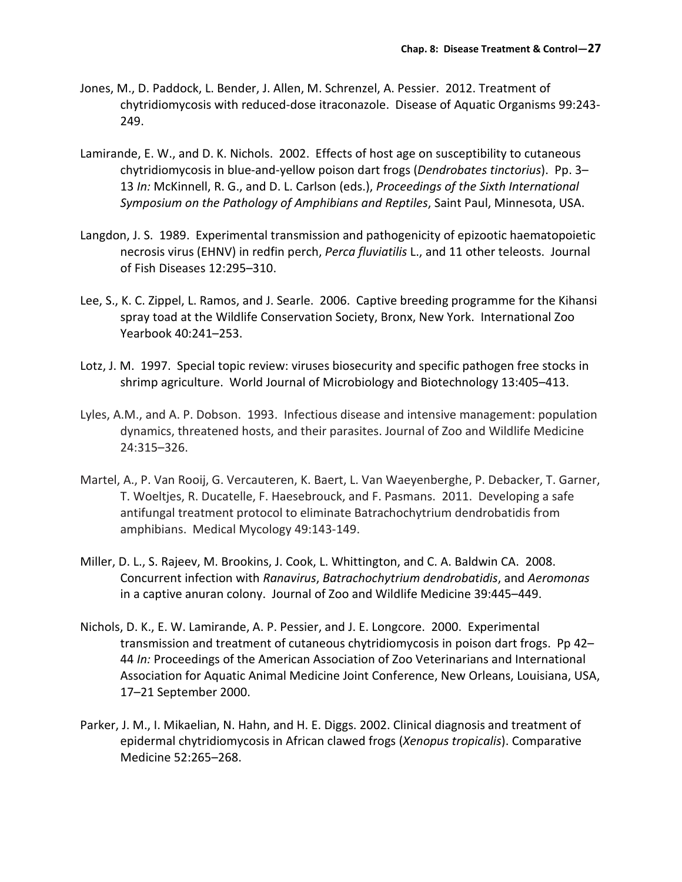- Jones, M., D. Paddock, L. Bender, J. Allen, M. Schrenzel, A. Pessier. 2012. Treatment of chytridiomycosis with reduced-dose itraconazole. Disease of Aquatic Organisms 99:243- 249.
- Lamirande, E. W., and D. K. Nichols. 2002. Effects of host age on susceptibility to cutaneous chytridiomycosis in blue-and-yellow poison dart frogs (Dendrobates tinctorius). Pp. 3– 13 In: McKinnell, R. G., and D. L. Carlson (eds.), Proceedings of the Sixth International Symposium on the Pathology of Amphibians and Reptiles, Saint Paul, Minnesota, USA.
- Langdon, J. S. 1989. Experimental transmission and pathogenicity of epizootic haematopoietic necrosis virus (EHNV) in redfin perch, Perca fluviatilis L., and 11 other teleosts. Journal of Fish Diseases 12:295–310.
- Lee, S., K. C. Zippel, L. Ramos, and J. Searle. 2006. Captive breeding programme for the Kihansi spray toad at the Wildlife Conservation Society, Bronx, New York. International Zoo Yearbook 40:241–253.
- Lotz, J. M. 1997. Special topic review: viruses biosecurity and specific pathogen free stocks in shrimp agriculture. World Journal of Microbiology and Biotechnology 13:405–413.
- Lyles, A.M., and A. P. Dobson. 1993. Infectious disease and intensive management: population dynamics, threatened hosts, and their parasites. Journal of Zoo and Wildlife Medicine 24:315–326.
- Martel, A., P. Van Rooij, G. Vercauteren, K. Baert, L. Van Waeyenberghe, P. Debacker, T. Garner, T. Woeltjes, R. Ducatelle, F. Haesebrouck, and F. Pasmans. 2011. Developing a safe antifungal treatment protocol to eliminate Batrachochytrium dendrobatidis from amphibians. Medical Mycology 49:143-149.
- Miller, D. L., S. Rajeev, M. Brookins, J. Cook, L. Whittington, and C. A. Baldwin CA. 2008. Concurrent infection with Ranavirus, Batrachochytrium dendrobatidis, and Aeromonas in a captive anuran colony. Journal of Zoo and Wildlife Medicine 39:445–449.
- Nichols, D. K., E. W. Lamirande, A. P. Pessier, and J. E. Longcore. 2000. Experimental transmission and treatment of cutaneous chytridiomycosis in poison dart frogs. Pp 42– 44 In: Proceedings of the American Association of Zoo Veterinarians and International Association for Aquatic Animal Medicine Joint Conference, New Orleans, Louisiana, USA, 17–21 September 2000.
- Parker, J. M., I. Mikaelian, N. Hahn, and H. E. Diggs. 2002. Clinical diagnosis and treatment of epidermal chytridiomycosis in African clawed frogs (Xenopus tropicalis). Comparative Medicine 52:265–268.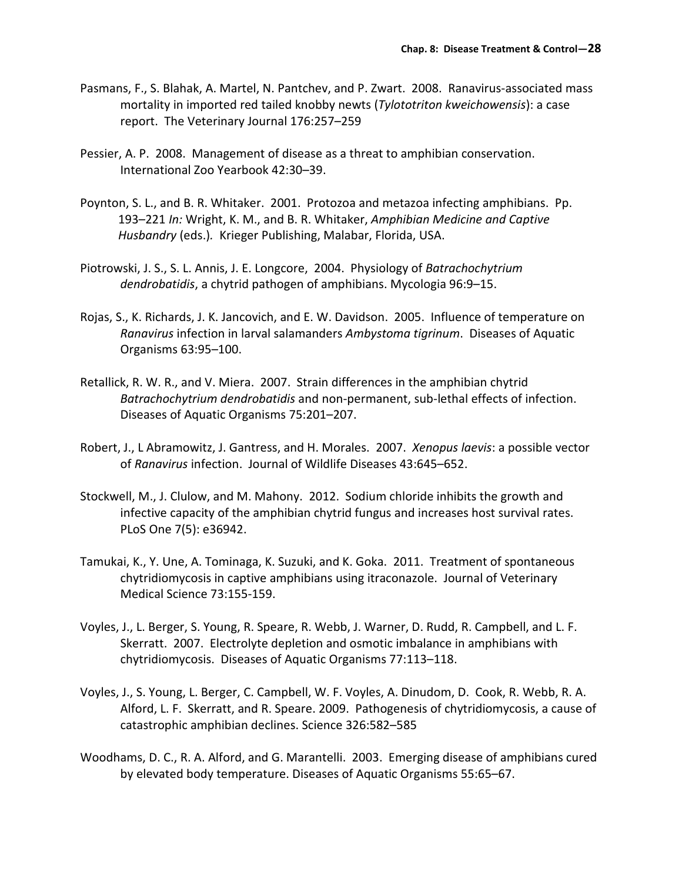- Pasmans, F., S. Blahak, A. Martel, N. Pantchev, and P. Zwart. 2008. Ranavirus-associated mass mortality in imported red tailed knobby newts (Tylototriton kweichowensis): a case report. The Veterinary Journal 176:257–259
- Pessier, A. P. 2008. Management of disease as a threat to amphibian conservation. International Zoo Yearbook 42:30–39.
- Poynton, S. L., and B. R. Whitaker. 2001. Protozoa and metazoa infecting amphibians. Pp. 193–221 In: Wright, K. M., and B. R. Whitaker, Amphibian Medicine and Captive Husbandry (eds.). Krieger Publishing, Malabar, Florida, USA.
- Piotrowski, J. S., S. L. Annis, J. E. Longcore, 2004. Physiology of Batrachochytrium dendrobatidis, a chytrid pathogen of amphibians. Mycologia 96:9–15.
- Rojas, S., K. Richards, J. K. Jancovich, and E. W. Davidson. 2005. Influence of temperature on Ranavirus infection in larval salamanders Ambystoma tigrinum. Diseases of Aquatic Organisms 63:95–100.
- Retallick, R. W. R., and V. Miera. 2007. Strain differences in the amphibian chytrid Batrachochytrium dendrobatidis and non-permanent, sub-lethal effects of infection. Diseases of Aquatic Organisms 75:201–207.
- Robert, J., L Abramowitz, J. Gantress, and H. Morales. 2007. Xenopus laevis: a possible vector of Ranavirus infection. Journal of Wildlife Diseases 43:645–652.
- Stockwell, M., J. Clulow, and M. Mahony. 2012. Sodium chloride inhibits the growth and infective capacity of the amphibian chytrid fungus and increases host survival rates. PLoS One 7(5): e36942.
- Tamukai, K., Y. Une, A. Tominaga, K. Suzuki, and K. Goka. 2011. Treatment of spontaneous chytridiomycosis in captive amphibians using itraconazole. Journal of Veterinary Medical Science 73:155-159.
- Voyles, J., L. Berger, S. Young, R. Speare, R. Webb, J. Warner, D. Rudd, R. Campbell, and L. F. Skerratt. 2007. Electrolyte depletion and osmotic imbalance in amphibians with chytridiomycosis. Diseases of Aquatic Organisms 77:113–118.
- Voyles, J., S. Young, L. Berger, C. Campbell, W. F. Voyles, A. Dinudom, D. Cook, R. Webb, R. A. Alford, L. F. Skerratt, and R. Speare. 2009. Pathogenesis of chytridiomycosis, a cause of catastrophic amphibian declines. Science 326:582–585
- Woodhams, D. C., R. A. Alford, and G. Marantelli. 2003. Emerging disease of amphibians cured by elevated body temperature. Diseases of Aquatic Organisms 55:65–67.